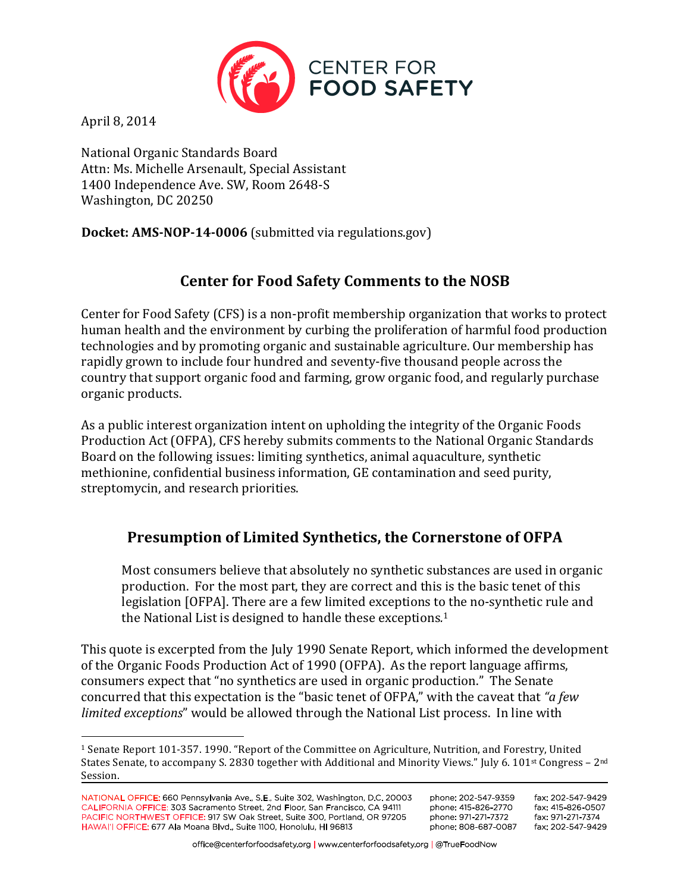

April 8, 2014

National Organic Standards Board Attn: Ms. Michelle Arsenault, Special Assistant 1400 Independence Ave. SW, Room 2648-S Washington, DC 20250

**Docket: AMS-NOP-14-0006** (submitted via regulations.gov)

# **Center for Food Safety Comments to the NOSB**

Center for Food Safety (CFS) is a non-profit membership organization that works to protect human health and the environment by curbing the proliferation of harmful food production technologies and by promoting organic and sustainable agriculture. Our membership has rapidly grown to include four hundred and seventy-five thousand people across the country that support organic food and farming, grow organic food, and regularly purchase organic products.

As a public interest organization intent on upholding the integrity of the Organic Foods Production Act (OFPA), CFS hereby submits comments to the National Organic Standards Board on the following issues: limiting synthetics, animal aquaculture, synthetic methionine, confidential business information, GE contamination and seed purity, streptomycin, and research priorities.

# Presumption of Limited Synthetics, the Cornerstone of OFPA

Most consumers believe that absolutely no synthetic substances are used in organic production. For the most part, they are correct and this is the basic tenet of this legislation [OFPA]. There are a few limited exceptions to the no-synthetic rule and the National List is designed to handle these exceptions.<sup>1</sup>

This quote is excerpted from the July 1990 Senate Report, which informed the development of the Organic Foods Production Act of 1990 (OFPA). As the report language affirms, consumers expect that "no synthetics are used in organic production." The Senate concurred that this expectation is the "basic tenet of OFPA," with the caveat that "a *few limited exceptions*" would be allowed through the National List process. In line with

<sup>&</sup>lt;sup>1</sup> Senate Report 101-357. 1990. "Report of the Committee on Agriculture, Nutrition, and Forestry, United States Senate, to accompany S. 2830 together with Additional and Minority Views." July 6. 101st Congress – 2<sup>nd</sup> Session.

NATIONAL OFFICE: 660 Pennsylvania Ave., S.E., Suite 302, Washington, D.C. 20003 CALIFORNIA OFFICE: 303 Sacramento Street, 2nd Floor, San Francisco, CA 94111 PACIFIC NORTHWEST OFFICE: 917 SW Oak Street, Suite 300, Portland, OR 97205 HAWAI'I OFFICE: 677 Ala Moana Blvd., Suite 1100, Honolulu, HI 96813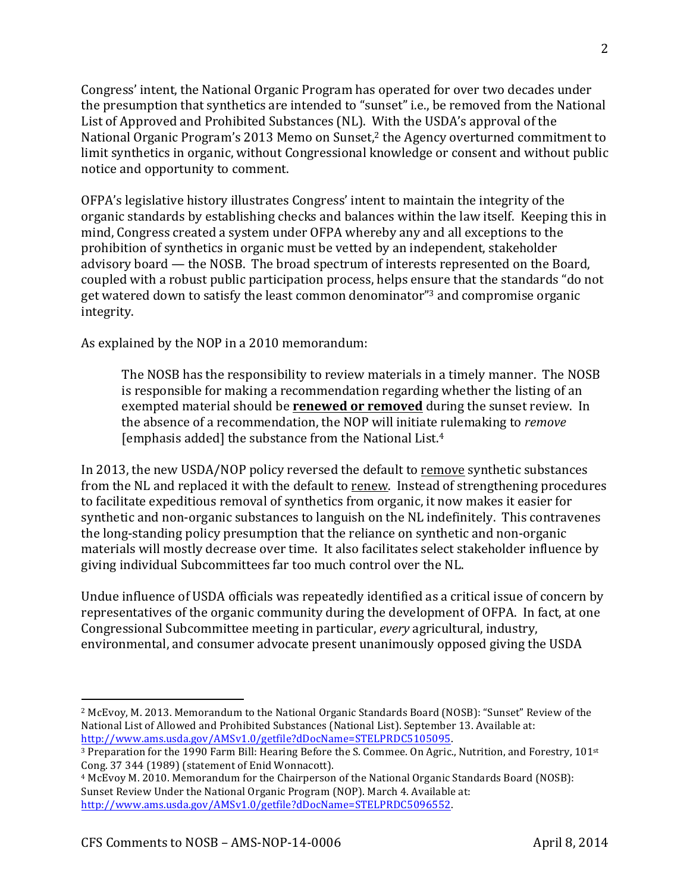Congress' intent, the National Organic Program has operated for over two decades under the presumption that synthetics are intended to "sunset" i.e., be removed from the National List of Approved and Prohibited Substances (NL). With the USDA's approval of the National Organic Program's 2013 Memo on Sunset,<sup>2</sup> the Agency overturned commitment to limit synthetics in organic, without Congressional knowledge or consent and without public notice and opportunity to comment.

OFPA's legislative history illustrates Congress' intent to maintain the integrity of the organic standards by establishing checks and balances within the law itself. Keeping this in mind, Congress created a system under OFPA whereby any and all exceptions to the prohibition of synthetics in organic must be vetted by an independent, stakeholder advisory board — the NOSB. The broad spectrum of interests represented on the Board, coupled with a robust public participation process, helps ensure that the standards "do not get watered down to satisfy the least common denominator"<sup>3</sup> and compromise organic integrity.

As explained by the NOP in a 2010 memorandum:

The NOSB has the responsibility to review materials in a timely manner. The NOSB is responsible for making a recommendation regarding whether the listing of an exempted material should be **renewed or removed** during the sunset review. In the absence of a recommendation, the NOP will initiate rulemaking to *remove* [emphasis added] the substance from the National List.<sup>4</sup>

In 2013, the new USDA/NOP policy reversed the default to remove synthetic substances from the NL and replaced it with the default to renew. Instead of strengthening procedures to facilitate expeditious removal of synthetics from organic, it now makes it easier for synthetic and non-organic substances to languish on the NL indefinitely. This contravenes the long-standing policy presumption that the reliance on synthetic and non-organic materials will mostly decrease over time. It also facilitates select stakeholder influence by giving individual Subcommittees far too much control over the NL.

Undue influence of USDA officials was repeatedly identified as a critical issue of concern by representatives of the organic community during the development of OFPA. In fact, at one Congressional Subcommittee meeting in particular, *every* agricultural, industry, environmental, and consumer advocate present unanimously opposed giving the USDA

<sup>&</sup>lt;sup>2</sup> McEvoy, M. 2013. Memorandum to the National Organic Standards Board (NOSB): "Sunset" Review of the National List of Allowed and Prohibited Substances (National List). September 13. Available at: http://www.ams.usda.gov/AMSv1.0/getfile?dDocName=STELPRDC5105095.!

<sup>&</sup>lt;sup>3</sup> Preparation for the 1990 Farm Bill: Hearing Before the S. Commee. On Agric., Nutrition, and Forestry, 101<sup>st</sup> Cong. 37 344 (1989) (statement of Enid Wonnacott).

<sup>&</sup>lt;sup>4</sup> McEvoy M. 2010. Memorandum for the Chairperson of the National Organic Standards Board (NOSB): Sunset Review Under the National Organic Program (NOP). March 4. Available at: http://www.ams.usda.gov/AMSv1.0/getfile?dDocName=STELPRDC5096552.!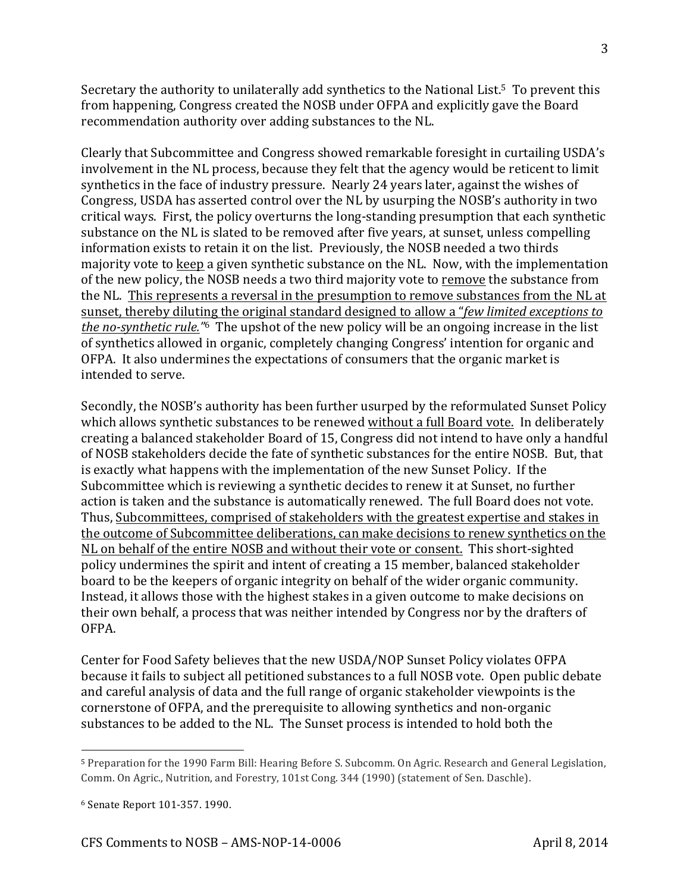Secretary the authority to unilaterally add synthetics to the National List. $5$  To prevent this from happening, Congress created the NOSB under OFPA and explicitly gave the Board recommendation authority over adding substances to the NL.

Clearly that Subcommittee and Congress showed remarkable foresight in curtailing USDA's involvement in the NL process, because they felt that the agency would be reticent to limit synthetics in the face of industry pressure. Nearly 24 years later, against the wishes of Congress, USDA has asserted control over the NL by usurping the NOSB's authority in two critical ways. First, the policy overturns the long-standing presumption that each synthetic substance on the NL is slated to be removed after five years, at sunset, unless compelling information exists to retain it on the list. Previously, the NOSB needed a two thirds majority vote to keep a given synthetic substance on the NL. Now, with the implementation of the new policy, the NOSB needs a two third majority vote to remove the substance from the NL. This represents a reversal in the presumption to remove substances from the NL at sunset, thereby diluting the original standard designed to allow a "*few limited exceptions to the no-synthetic rule.*"<sup>6</sup> The upshot of the new policy will be an ongoing increase in the list of synthetics allowed in organic, completely changing Congress' intention for organic and OFPA. It also undermines the expectations of consumers that the organic market is intended to serve.

Secondly, the NOSB's authority has been further usurped by the reformulated Sunset Policy which allows synthetic substances to be renewed without a full Board vote. In deliberately creating a balanced stakeholder Board of 15, Congress did not intend to have only a handful of NOSB stakeholders decide the fate of synthetic substances for the entire NOSB. But, that is exactly what happens with the implementation of the new Sunset Policy. If the Subcommittee which is reviewing a synthetic decides to renew it at Sunset, no further action is taken and the substance is automatically renewed. The full Board does not vote. Thus, Subcommittees, comprised of stakeholders with the greatest expertise and stakes in the outcome of Subcommittee deliberations, can make decisions to renew synthetics on the NL on behalf of the entire NOSB and without their vote or consent. This short-sighted policy undermines the spirit and intent of creating a 15 member, balanced stakeholder board to be the keepers of organic integrity on behalf of the wider organic community. Instead, it allows those with the highest stakes in a given outcome to make decisions on their own behalf, a process that was neither intended by Congress nor by the drafters of OFPA.!

Center for Food Safety believes that the new USDA/NOP Sunset Policy violates OFPA because it fails to subject all petitioned substances to a full NOSB vote. Open public debate and careful analysis of data and the full range of organic stakeholder viewpoints is the cornerstone of OFPA, and the prerequisite to allowing synthetics and non-organic substances to be added to the NL. The Sunset process is intended to hold both the

<sup>&</sup>lt;sup>5</sup> Preparation for the 1990 Farm Bill: Hearing Before S. Subcomm. On Agric. Research and General Legislation, Comm. On Agric., Nutrition, and Forestry, 101st Cong. 344 (1990) (statement of Sen. Daschle).

<sup>6</sup> Senate Report 101-357. 1990.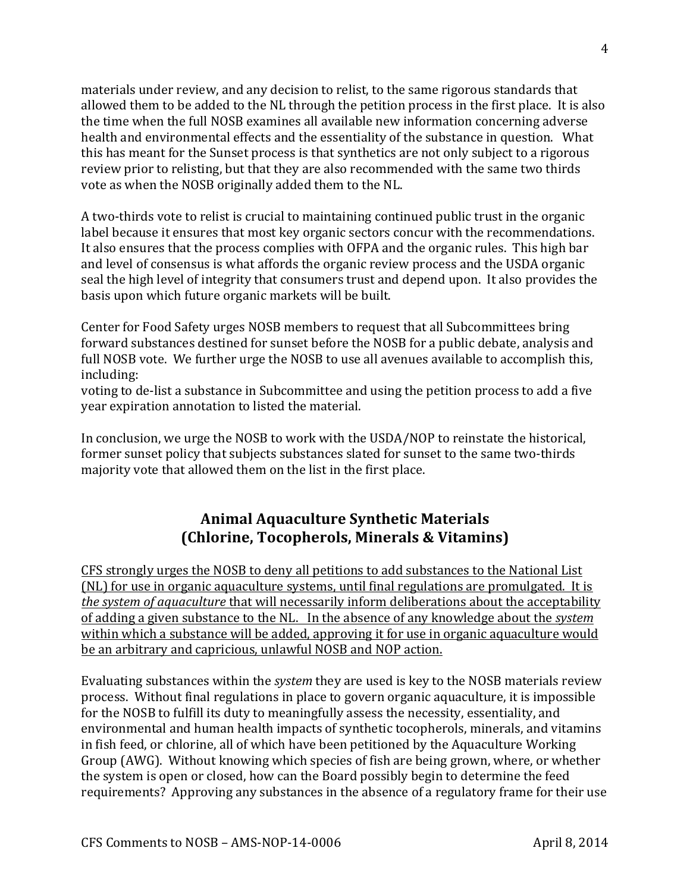materials under review, and any decision to relist, to the same rigorous standards that allowed them to be added to the NL through the petition process in the first place. It is also the time when the full NOSB examines all available new information concerning adverse health and environmental effects and the essentiality of the substance in question. What this has meant for the Sunset process is that synthetics are not only subject to a rigorous review prior to relisting, but that they are also recommended with the same two thirds vote as when the NOSB originally added them to the NL.

A two-thirds vote to relist is crucial to maintaining continued public trust in the organic label because it ensures that most key organic sectors concur with the recommendations. It also ensures that the process complies with OFPA and the organic rules. This high bar and level of consensus is what affords the organic review process and the USDA organic seal the high level of integrity that consumers trust and depend upon. It also provides the basis upon which future organic markets will be built.

Center for Food Safety urges NOSB members to request that all Subcommittees bring forward substances destined for sunset before the NOSB for a public debate, analysis and full NOSB vote. We further urge the NOSB to use all avenues available to accomplish this, including:

voting to de-list a substance in Subcommittee and using the petition process to add a five year expiration annotation to listed the material.

In conclusion, we urge the NOSB to work with the USDA/NOP to reinstate the historical, former sunset policy that subjects substances slated for sunset to the same two-thirds majority vote that allowed them on the list in the first place.

## **Animal(Aquaculture(Synthetic(Materials (Chlorine, Tocopherols, Minerals & Vitamins)**

CFS strongly urges the NOSB to deny all petitions to add substances to the National List (NL) for use in organic aquaculture systems, until final regulations are promulgated. It is *the system of aquaculture* that will necessarily inform deliberations about the acceptability of adding a given substance to the NL. In the absence of any knowledge about the *system* within which a substance will be added, approving it for use in organic aquaculture would be an arbitrary and capricious, unlawful NOSB and NOP action.

Evaluating substances within the *system* they are used is key to the NOSB materials review process. Without final regulations in place to govern organic aquaculture, it is impossible for the NOSB to fulfill its duty to meaningfully assess the necessity, essentiality, and environmental and human health impacts of synthetic tocopherols, minerals, and vitamins in fish feed, or chlorine, all of which have been petitioned by the Aquaculture Working Group (AWG). Without knowing which species of fish are being grown, where, or whether the system is open or closed, how can the Board possibly begin to determine the feed requirements? Approving any substances in the absence of a regulatory frame for their use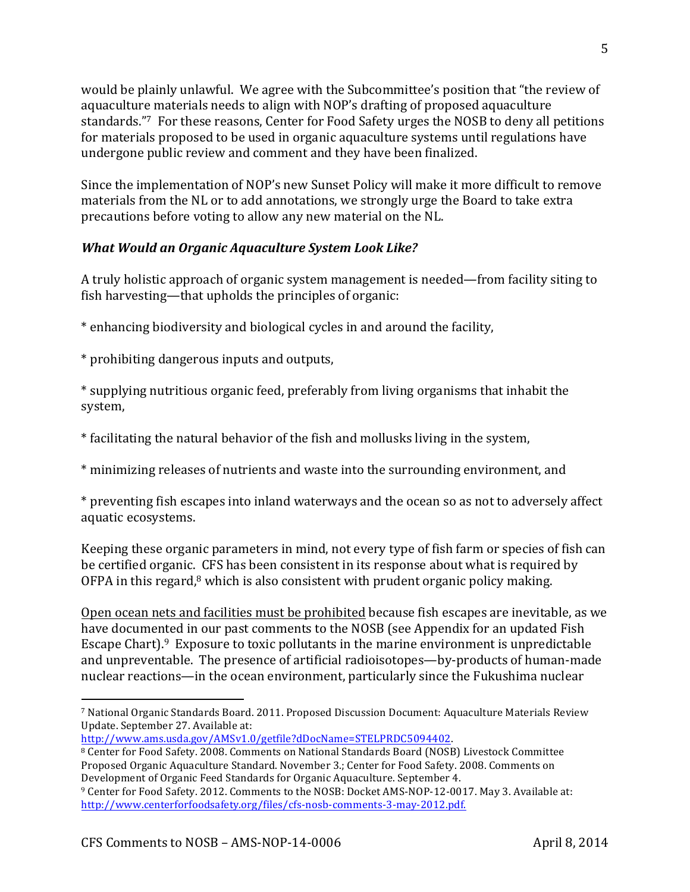would be plainly unlawful. We agree with the Subcommittee's position that "the review of aquaculture materials needs to align with NOP's drafting of proposed aquaculture standards."<sup>7</sup> For these reasons, Center for Food Safety urges the NOSB to deny all petitions for materials proposed to be used in organic aquaculture systems until regulations have undergone public review and comment and they have been finalized.

Since the implementation of NOP's new Sunset Policy will make it more difficult to remove materials from the NL or to add annotations, we strongly urge the Board to take extra precautions before voting to allow any new material on the NL.

### *What%Would%an%Organic%Aquaculture%System%Look%Like?*

A truly holistic approach of organic system management is needed—from facility siting to fish harvesting—that upholds the principles of organic:

\* enhancing biodiversity and biological cycles in and around the facility,

\* prohibiting dangerous inputs and outputs,

!!!!!!!!!!!!!!!!!!!!!!!!!!!!!!!!!!!!!!!!!!!!!!!!!!!!!!!!!!!!

\* supplying nutritious organic feed, preferably from living organisms that inhabit the system,

\* facilitating the natural behavior of the fish and mollusks living in the system,

\* minimizing releases of nutrients and waste into the surrounding environment, and

\* preventing fish escapes into inland waterways and the ocean so as not to adversely affect aquatic ecosystems.

Keeping these organic parameters in mind, not every type of fish farm or species of fish can be certified organic. CFS has been consistent in its response about what is required by OFPA in this regard, $8$  which is also consistent with prudent organic policy making.

Open ocean nets and facilities must be prohibited because fish escapes are inevitable, as we have documented in our past comments to the NOSB (see Appendix for an updated Fish Escape Chart). $9$  Exposure to toxic pollutants in the marine environment is unpredictable and unpreventable. The presence of artificial radioisotopes—by-products of human-made nuclear reactions—in the ocean environment, particularly since the Fukushima nuclear

http://www.ams.usda.gov/AMSv1.0/getfile?dDocName=STELPRDC5094402.!

5

<sup>&</sup>lt;sup>7</sup> National Organic Standards Board. 2011. Proposed Discussion Document: Aquaculture Materials Review Update. September 27. Available at:

<sup>8</sup> Center for Food Safety. 2008. Comments on National Standards Board (NOSB) Livestock Committee Proposed Organic Aquaculture Standard. November 3.; Center for Food Safety. 2008. Comments on Development of Organic Feed Standards for Organic Aquaculture. September 4.

<sup>&</sup>lt;sup>9</sup> Center for Food Safety. 2012. Comments to the NOSB: Docket AMS-NOP-12-0017. May 3. Available at: http://www.centerforfoodsafety.org/files/cfs-nosb-comments-3-may-2012.pdf.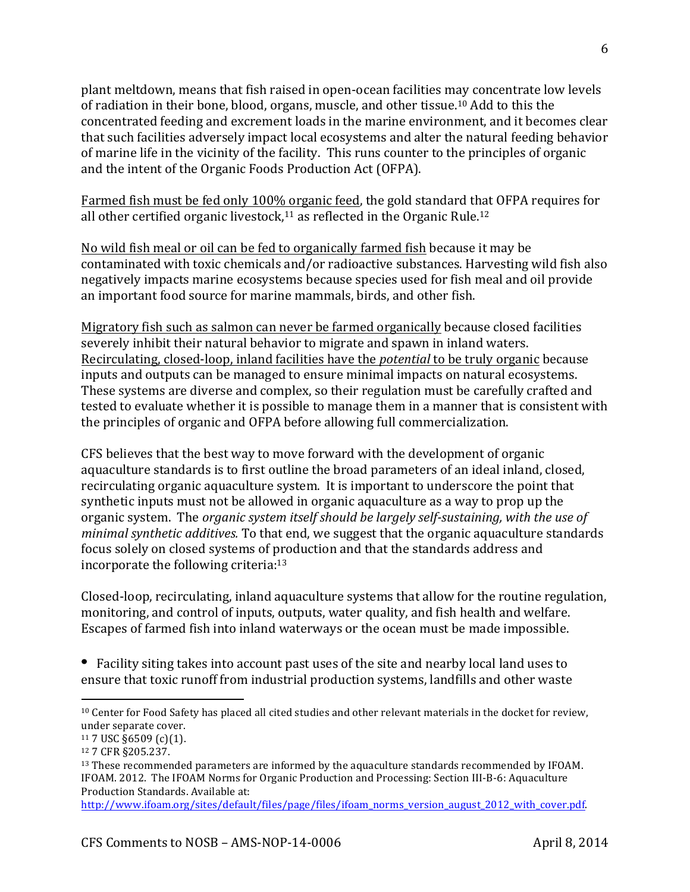plant meltdown, means that fish raised in open-ocean facilities may concentrate low levels of radiation in their bone, blood, organs, muscle, and other tissue.<sup>10</sup> Add to this the concentrated feeding and excrement loads in the marine environment, and it becomes clear that such facilities adversely impact local ecosystems and alter the natural feeding behavior of marine life in the vicinity of the facility. This runs counter to the principles of organic and the intent of the Organic Foods Production Act (OFPA).

Farmed fish must be fed only 100% organic feed, the gold standard that OFPA requires for all other certified organic livestock,<sup>11</sup> as reflected in the Organic Rule.<sup>12</sup>

No wild fish meal or oil can be fed to organically farmed fish because it may be contaminated with toxic chemicals and/or radioactive substances. Harvesting wild fish also negatively impacts marine ecosystems because species used for fish meal and oil provide an important food source for marine mammals, birds, and other fish.

Migratory fish such as salmon can never be farmed organically because closed facilities severely inhibit their natural behavior to migrate and spawn in inland waters. Recirculating, closed-loop, inland facilities have the *potential* to be truly organic because inputs and outputs can be managed to ensure minimal impacts on natural ecosystems. These systems are diverse and complex, so their regulation must be carefully crafted and tested to evaluate whether it is possible to manage them in a manner that is consistent with the principles of organic and OFPA before allowing full commercialization.

CFS believes that the best way to move forward with the development of organic aquaculture standards is to first outline the broad parameters of an ideal inland, closed, recirculating organic aquaculture system. It is important to underscore the point that synthetic inputs must not be allowed in organic aquaculture as a way to prop up the organic system. The *organic system itself should be largely self-sustaining, with the use of minimal synthetic additives.* To that end, we suggest that the organic aquaculture standards focus solely on closed systems of production and that the standards address and incorporate the following criteria: $13$ 

Closed-loop, recirculating, inland aquaculture systems that allow for the routine regulation, monitoring, and control of inputs, outputs, water quality, and fish health and welfare. Escapes of farmed fish into inland waterways or the ocean must be made impossible.

• Facility siting takes into account past uses of the site and nearby local land uses to ensure that toxic runoff from industrial production systems, landfills and other waste

<sup>&</sup>lt;sup>10</sup> Center for Food Safety has placed all cited studies and other relevant materials in the docket for review, under separate cover.

 $11$  7 USC §6509 (c)(1).

<sup>12 7</sup> CFR §205.237.

 $13$  These recommended parameters are informed by the aquaculture standards recommended by IFOAM. IFOAM. 2012. The IFOAM Norms for Organic Production and Processing: Section III-B-6: Aquaculture Production Standards. Available at:

http://www.ifoam.org/sites/default/files/page/files/ifoam\_norms\_version\_august\_2012\_with\_cover.pdf.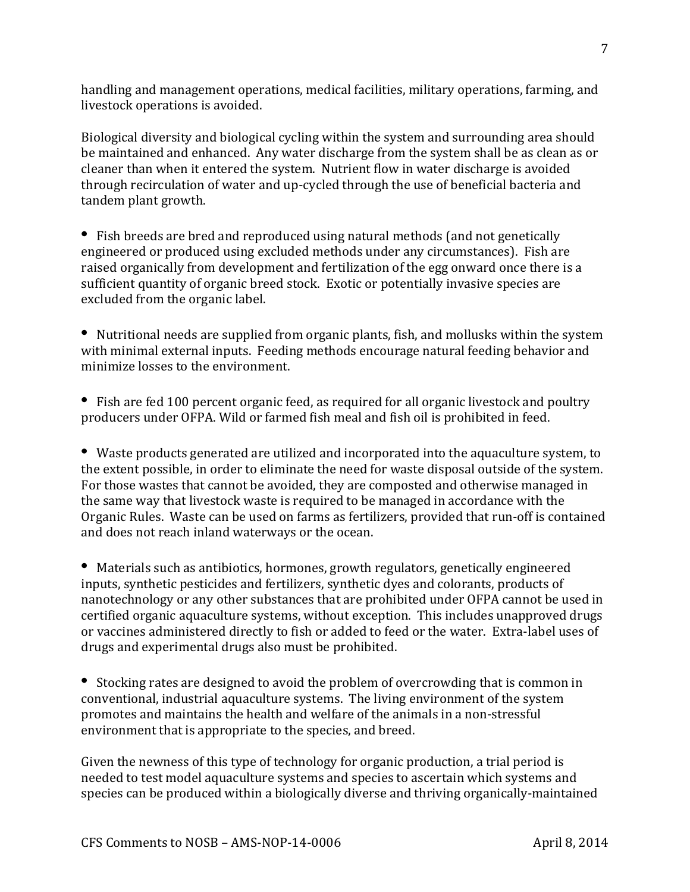handling and management operations, medical facilities, military operations, farming, and livestock operations is avoided.

Biological diversity and biological cycling within the system and surrounding area should be maintained and enhanced. Any water discharge from the system shall be as clean as or cleaner than when it entered the system. Nutrient flow in water discharge is avoided through recirculation of water and up-cycled through the use of beneficial bacteria and tandem plant growth.

Fish breeds are bred and reproduced using natural methods (and not genetically engineered or produced using excluded methods under any circumstances). Fish are raised organically from development and fertilization of the egg onward once there is a sufficient quantity of organic breed stock. Exotic or potentially invasive species are excluded from the organic label.

• Nutritional needs are supplied from organic plants, fish, and mollusks within the system with minimal external inputs. Feeding methods encourage natural feeding behavior and minimize losses to the environment.

• Fish are fed 100 percent organic feed, as required for all organic livestock and poultry producers under OFPA. Wild or farmed fish meal and fish oil is prohibited in feed.

• Waste products generated are utilized and incorporated into the aquaculture system, to the extent possible, in order to eliminate the need for waste disposal outside of the system. For those wastes that cannot be avoided, they are composted and otherwise managed in the same way that livestock waste is required to be managed in accordance with the Organic Rules. Waste can be used on farms as fertilizers, provided that run-off is contained and does not reach inland waterways or the ocean.

• Materials such as antibiotics, hormones, growth regulators, genetically engineered inputs, synthetic pesticides and fertilizers, synthetic dyes and colorants, products of nanotechnology or any other substances that are prohibited under OFPA cannot be used in certified organic aquaculture systems, without exception. This includes unapproved drugs or vaccines administered directly to fish or added to feed or the water. Extra-label uses of drugs and experimental drugs also must be prohibited.

Stocking rates are designed to avoid the problem of overcrowding that is common in  $\cdot$ conventional, industrial aquaculture systems. The living environment of the system promotes and maintains the health and welfare of the animals in a non-stressful environment that is appropriate to the species, and breed.

Given the newness of this type of technology for organic production, a trial period is needed to test model aquaculture systems and species to ascertain which systems and species can be produced within a biologically diverse and thriving organically-maintained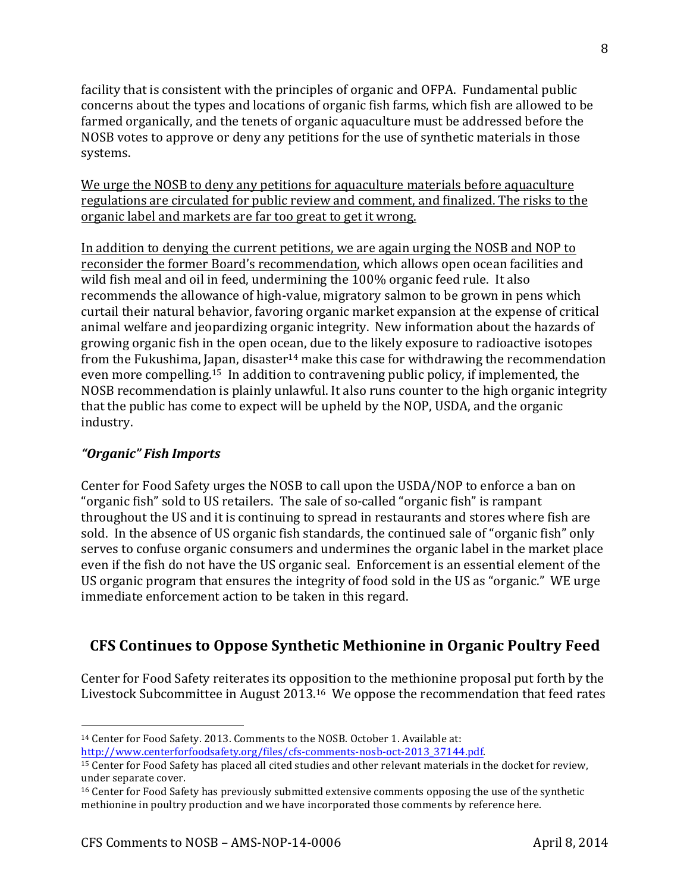facility that is consistent with the principles of organic and OFPA. Fundamental public concerns about the types and locations of organic fish farms, which fish are allowed to be farmed organically, and the tenets of organic aquaculture must be addressed before the NOSB votes to approve or deny any petitions for the use of synthetic materials in those systems.

We urge the NOSB to deny any petitions for aquaculture materials before aquaculture regulations are circulated for public review and comment, and finalized. The risks to the organic label and markets are far too great to get it wrong.

In addition to denying the current petitions, we are again urging the NOSB and NOP to reconsider the former Board's recommendation, which allows open ocean facilities and wild fish meal and oil in feed, undermining the 100% organic feed rule. It also recommends the allowance of high-value, migratory salmon to be grown in pens which curtail their natural behavior, favoring organic market expansion at the expense of critical animal welfare and jeopardizing organic integrity. New information about the hazards of growing organic fish in the open ocean, due to the likely exposure to radioactive isotopes from the Fukushima, Japan, disaster<sup>14</sup> make this case for withdrawing the recommendation even more compelling.<sup>15</sup> In addition to contravening public policy, if implemented, the NOSB recommendation is plainly unlawful. It also runs counter to the high organic integrity that the public has come to expect will be upheld by the NOP, USDA, and the organic industry.

### *"Organic"%Fish%Imports*

!!!!!!!!!!!!!!!!!!!!!!!!!!!!!!!!!!!!!!!!!!!!!!!!!!!!!!!!!!!!

Center for Food Safety urges the NOSB to call upon the USDA/NOP to enforce a ban on "organic fish" sold to US retailers. The sale of so-called "organic fish" is rampant throughout the US and it is continuing to spread in restaurants and stores where fish are sold. In the absence of US organic fish standards, the continued sale of "organic fish" only serves to confuse organic consumers and undermines the organic label in the market place even if the fish do not have the US organic seal. Enforcement is an essential element of the US organic program that ensures the integrity of food sold in the US as "organic." WE urge immediate enforcement action to be taken in this regard.

# **CFS Continues to Oppose Synthetic Methionine in Organic Poultry Feed**

Center for Food Safety reiterates its opposition to the methionine proposal put forth by the Livestock Subcommittee in August 2013.<sup>16</sup> We oppose the recommendation that feed rates

<sup>&</sup>lt;sup>14</sup> Center for Food Safety. 2013. Comments to the NOSB. October 1. Available at: http://www.centerforfoodsafety.org/files/cfs-comments-nosb-oct-2013\_37144.pdf.

<sup>&</sup>lt;sup>15</sup> Center for Food Safety has placed all cited studies and other relevant materials in the docket for review, under separate cover.

 $16$  Center for Food Safety has previously submitted extensive comments opposing the use of the synthetic methionine in poultry production and we have incorporated those comments by reference here.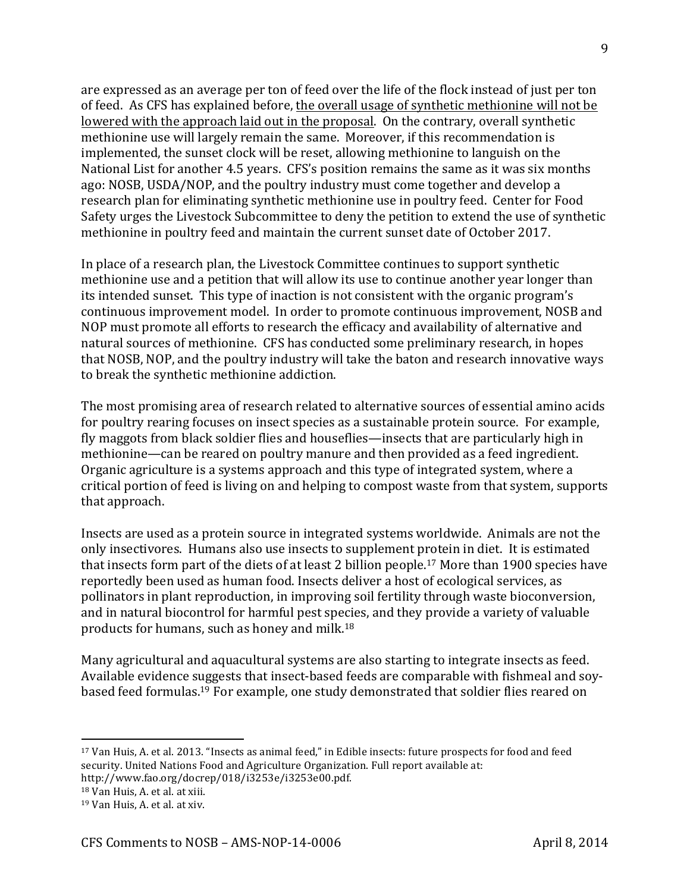are expressed as an average per ton of feed over the life of the flock instead of just per ton of feed. As CFS has explained before, the overall usage of synthetic methionine will not be lowered with the approach laid out in the proposal. On the contrary, overall synthetic methionine use will largely remain the same. Moreover, if this recommendation is implemented, the sunset clock will be reset, allowing methionine to languish on the National List for another 4.5 years. CFS's position remains the same as it was six months ago: NOSB, USDA/NOP, and the poultry industry must come together and develop a research plan for eliminating synthetic methionine use in poultry feed. Center for Food Safety urges the Livestock Subcommittee to deny the petition to extend the use of synthetic methionine in poultry feed and maintain the current sunset date of October 2017.

In place of a research plan, the Livestock Committee continues to support synthetic methionine use and a petition that will allow its use to continue another year longer than its intended sunset. This type of inaction is not consistent with the organic program's continuous improvement model. In order to promote continuous improvement, NOSB and NOP must promote all efforts to research the efficacy and availability of alternative and natural sources of methionine. CFS has conducted some preliminary research, in hopes that NOSB, NOP, and the poultry industry will take the baton and research innovative ways to break the synthetic methionine addiction.

The most promising area of research related to alternative sources of essential amino acids for poultry rearing focuses on insect species as a sustainable protein source. For example, fly maggots from black soldier flies and houseflies—insects that are particularly high in methionine—can be reared on poultry manure and then provided as a feed ingredient. Organic agriculture is a systems approach and this type of integrated system, where a critical portion of feed is living on and helping to compost waste from that system, supports that approach.

Insects are used as a protein source in integrated systems worldwide. Animals are not the only insectivores. Humans also use insects to supplement protein in diet. It is estimated that insects form part of the diets of at least 2 billion people.<sup>17</sup> More than 1900 species have reportedly been used as human food. Insects deliver a host of ecological services, as pollinators in plant reproduction, in improving soil fertility through waste bioconversion, and in natural biocontrol for harmful pest species, and they provide a variety of valuable products for humans, such as honey and milk.<sup>18</sup>

Many agricultural and aquacultural systems are also starting to integrate insects as feed. Available evidence suggests that insect-based feeds are comparable with fishmeal and soybased feed formulas.<sup>19</sup> For example, one study demonstrated that soldier flies reared on

- <sup>17</sup> Van Huis, A. et al. 2013. "Insects as animal feed," in Edible insects: future prospects for food and feed security. United Nations Food and Agriculture Organization. Full report available at:
- http://www.fao.org/docrep/018/i3253e/i3253e00.pdf.
- $18$  Van Huis, A. et al. at xiii.

<sup>&</sup>lt;sup>19</sup> Van Huis, A. et al. at xiv.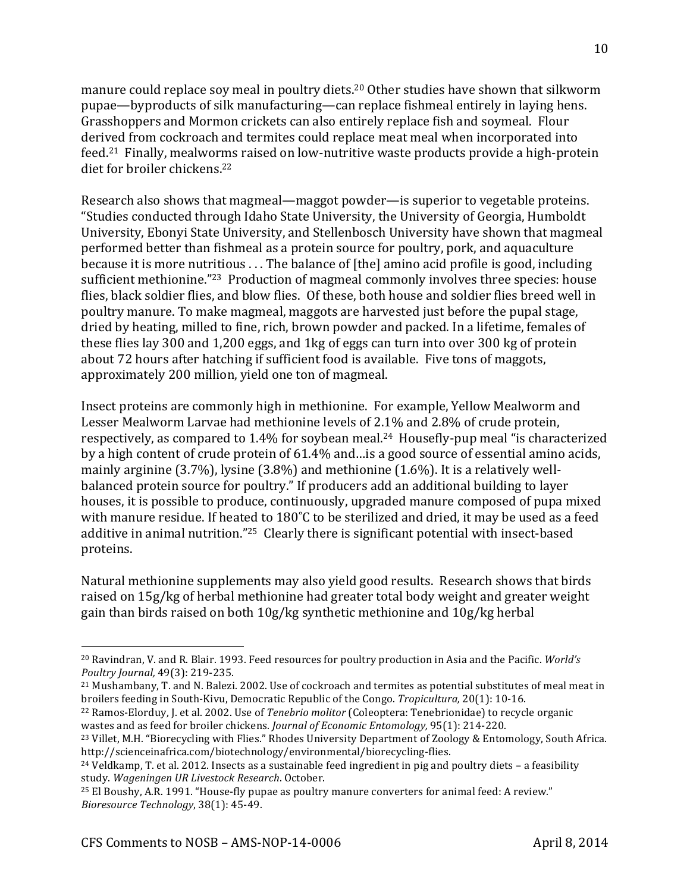manure could replace soy meal in poultry diets.<sup>20</sup> Other studies have shown that silkworm pupae—byproducts of silk manufacturing—can replace fishmeal entirely in laying hens. Grasshoppers and Mormon crickets can also entirely replace fish and soymeal. Flour derived from cockroach and termites could replace meat meal when incorporated into feed.<sup>21</sup> Finally, mealworms raised on low-nutritive waste products provide a high-protein diet for broiler chickens.<sup>22</sup>

Research also shows that magmeal—maggot powder—is superior to vegetable proteins. "Studies conducted through Idaho State University, the University of Georgia, Humboldt University, Ebonyi State University, and Stellenbosch University have shown that magmeal performed better than fishmeal as a protein source for poultry, pork, and aquaculture because it is more nutritious ... The balance of [the] amino acid profile is good, including sufficient methionine."<sup>23</sup> Production of magmeal commonly involves three species: house flies, black soldier flies, and blow flies. Of these, both house and soldier flies breed well in poultry manure. To make magmeal, maggots are harvested just before the pupal stage, dried by heating, milled to fine, rich, brown powder and packed. In a lifetime, females of these flies lay 300 and 1,200 eggs, and 1kg of eggs can turn into over 300 kg of protein about 72 hours after hatching if sufficient food is available. Five tons of maggots, approximately 200 million, yield one ton of magmeal.

Insect proteins are commonly high in methionine. For example, Yellow Mealworm and Lesser Mealworm Larvae had methionine levels of 2.1% and 2.8% of crude protein, respectively, as compared to  $1.4\%$  for soybean meal.<sup>24</sup> Housefly-pup meal "is characterized by a high content of crude protein of  $61.4\%$  and…is a good source of essential amino acids, mainly arginine (3.7%), lysine (3.8%) and methionine (1.6%). It is a relatively wellbalanced protein source for poultry." If producers add an additional building to layer houses, it is possible to produce, continuously, upgraded manure composed of pupa mixed with manure residue. If heated to 180°C to be sterilized and dried, it may be used as a feed additive in animal nutrition."<sup>25</sup> Clearly there is significant potential with insect-based proteins.

Natural methionine supplements may also yield good results. Research shows that birds raised on 15g/kg of herbal methionine had greater total body weight and greater weight gain than birds raised on both 10g/kg synthetic methionine and 10g/kg herbal

<sup>&</sup>lt;sup>20</sup> Ravindran, V. and R. Blair. 1993. Feed resources for poultry production in Asia and the Pacific. *World's Poultry Journal, 49(3): 219-235.* 

<sup>&</sup>lt;sup>21</sup> Mushambany, T. and N. Balezi. 2002. Use of cockroach and termites as potential substitutes of meal meat in broilers feeding in South-Kivu, Democratic Republic of the Congo. *Tropicultura*, 20(1): 10-16.

<sup>&</sup>lt;sup>22</sup> Ramos-Elorduy, J. et al. 2002. Use of *Tenebrio molitor* (Coleoptera: Tenebrionidae) to recycle organic wastes and as feed for broiler chickens. *Journal of Economic Entomology*, 95(1): 214-220.

<sup>&</sup>lt;sup>23</sup> Villet, M.H. "Biorecycling with Flies." Rhodes University Department of Zoology & Entomology, South Africa. http://scienceinafrica.com/biotechnology/environmental/biorecycling-flies.

 $24$  Veldkamp, T. et al. 2012. Insects as a sustainable feed ingredient in pig and poultry diets – a feasibility study. Wageningen UR Livestock Research. October.

<sup>&</sup>lt;sup>25</sup> El Boushy, A.R. 1991. "House-fly pupae as poultry manure converters for animal feed: A review." *Bioresource Technology*, 38(1): 45-49.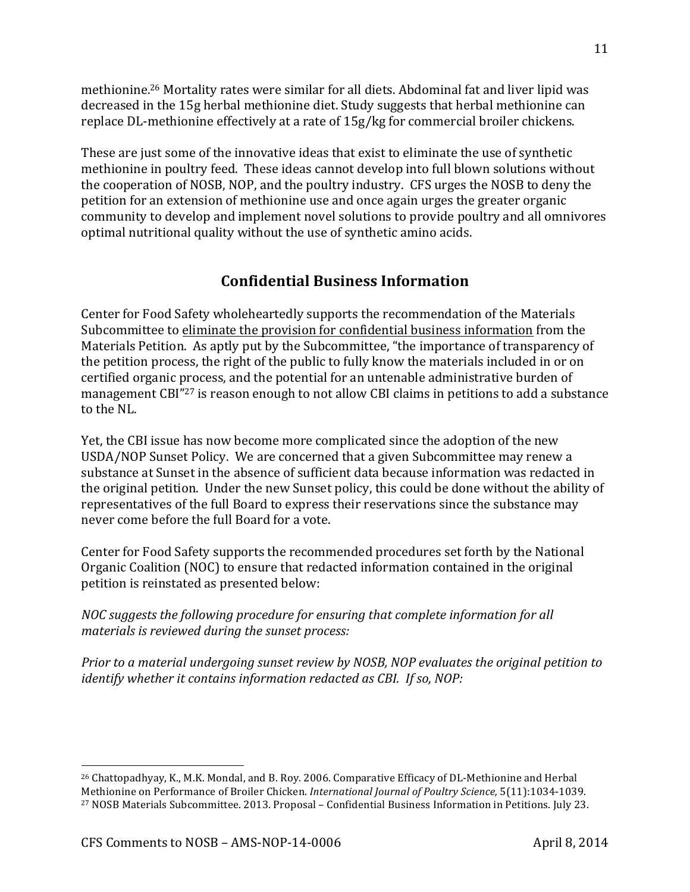methionine.<sup>26</sup> Mortality rates were similar for all diets. Abdominal fat and liver lipid was decreased in the 15g herbal methionine diet. Study suggests that herbal methionine can replace DL-methionine effectively at a rate of 15g/kg for commercial broiler chickens.

These are just some of the innovative ideas that exist to eliminate the use of synthetic methionine in poultry feed. These ideas cannot develop into full blown solutions without the cooperation of NOSB, NOP, and the poultry industry. CFS urges the NOSB to deny the petition for an extension of methionine use and once again urges the greater organic community to develop and implement novel solutions to provide poultry and all omnivores optimal nutritional quality without the use of synthetic amino acids.

## **Confidential(Business(Information**

Center for Food Safety wholeheartedly supports the recommendation of the Materials Subcommittee to eliminate the provision for confidential business information from the Materials Petition. As aptly put by the Subcommittee, "the importance of transparency of the petition process, the right of the public to fully know the materials included in or on certified organic process, and the potential for an untenable administrative burden of management CBI"<sup>27</sup> is reason enough to not allow CBI claims in petitions to add a substance to the NL.

Yet, the CBI issue has now become more complicated since the adoption of the new USDA/NOP Sunset Policy. We are concerned that a given Subcommittee may renew a substance at Sunset in the absence of sufficient data because information was redacted in the original petition. Under the new Sunset policy, this could be done without the ability of representatives of the full Board to express their reservations since the substance may never come before the full Board for a vote.

Center for Food Safety supports the recommended procedures set forth by the National Organic Coalition (NOC) to ensure that redacted information contained in the original petition is reinstated as presented below:

*NOC suggests the following procedure for ensuring that complete information for all materials is reviewed during the sunset process:* 

*Prior to a material undergoing sunset review by NOSB, NOP evaluates the original petition to identify whether it contains information redacted as CBI. If so, NOP:* 

<sup>&</sup>lt;sup>26</sup> Chattopadhyay, K., M.K. Mondal, and B. Roy. 2006. Comparative Efficacy of DL-Methionine and Herbal Methionine on Performance of Broiler Chicken. *International Journal of Poultry Science*, 5(11):1034-1039. <sup>27</sup> NOSB Materials Subcommittee. 2013. Proposal – Confidential Business Information in Petitions. July 23.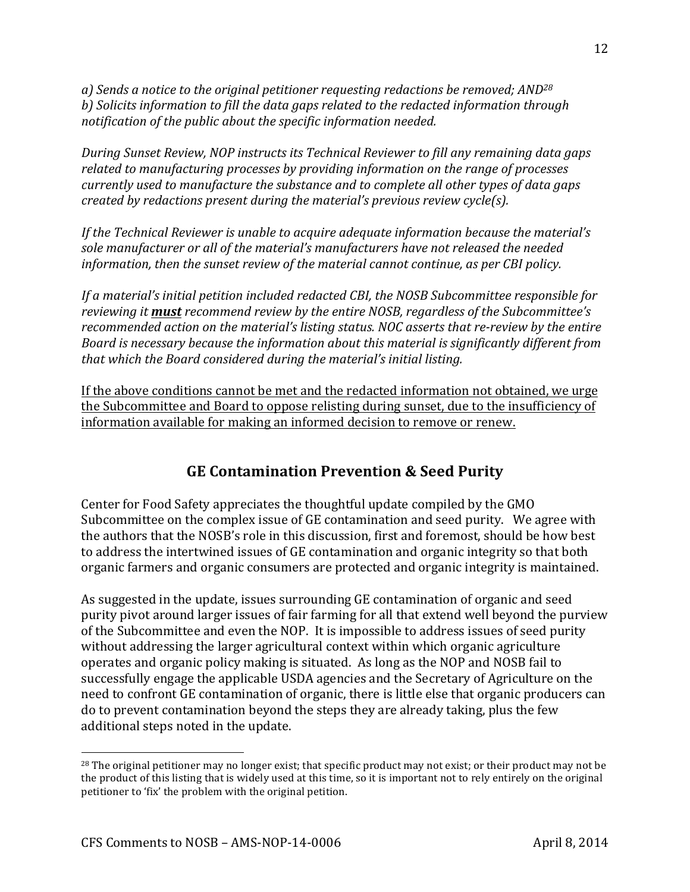*a), Sends,a,notice,to,the,original,petitioner,requesting,redactions,be,removed; AND<sup>28</sup>* b) Solicits information to fill the data gaps related to the redacted information through *notification of the public about the specific information needed.* 

*During,Sunset,Review,,NOP,instructs,its,Technical,Reviewer,to,fill,any,remaining,data,gaps, related to manufacturing processes by providing information on the range of processes currently used to manufacture the substance and to complete all other types of data gaps created,by, redactions, present,during, the,material's, previous, review, cycle(s).* 

*If the Technical Reviewer is unable to acquire adequate information because the material's sole,manufacturer, or, all, of the material's manufacturers, have, not, released, the, needed information, then the sunset review of the material cannot continue, as per CBI policy.* 

*If a material's initial petition included redacted CBI, the NOSB Subcommittee responsible for reviewing it must recommend review by the entire NOSB, regardless of the Subcommittee's recommended action on the material's listing status. NOC asserts that re-review by the entire Board is necessary because the information about this material is significantly different from* that which the Board considered during the material's initial listing.

If the above conditions cannot be met and the redacted information not obtained, we urge the Subcommittee and Board to oppose relisting during sunset, due to the insufficiency of information available for making an informed decision to remove or renew.

## **GE Contamination Prevention & Seed Purity**

Center for Food Safety appreciates the thoughtful update compiled by the GMO Subcommittee on the complex issue of GE contamination and seed purity. We agree with the authors that the NOSB's role in this discussion, first and foremost, should be how best to address the intertwined issues of GE contamination and organic integrity so that both organic farmers and organic consumers are protected and organic integrity is maintained.

As suggested in the update, issues surrounding GE contamination of organic and seed purity pivot around larger issues of fair farming for all that extend well beyond the purview of the Subcommittee and even the NOP. It is impossible to address issues of seed purity without addressing the larger agricultural context within which organic agriculture operates and organic policy making is situated. As long as the NOP and NOSB fail to successfully engage the applicable USDA agencies and the Secretary of Agriculture on the need to confront GE contamination of organic, there is little else that organic producers can do to prevent contamination beyond the steps they are already taking, plus the few additional steps noted in the update.

 $^{28}$  The original petitioner may no longer exist; that specific product may not exist; or their product may not be the product of this listing that is widely used at this time, so it is important not to rely entirely on the original petitioner to 'fix' the problem with the original petition.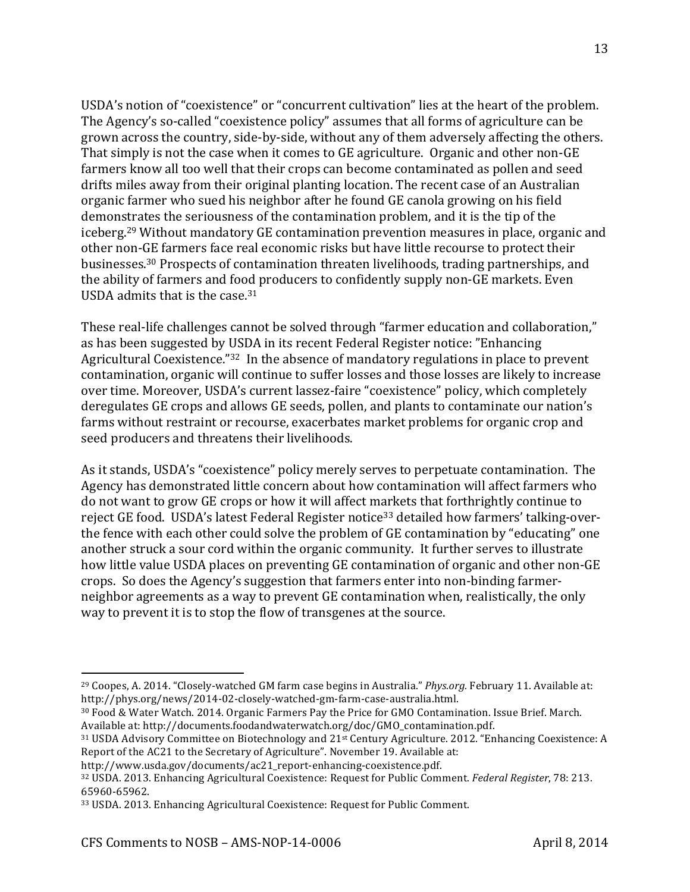USDA's notion of "coexistence" or "concurrent cultivation" lies at the heart of the problem. The Agency's so-called "coexistence policy" assumes that all forms of agriculture can be grown across the country, side-by-side, without any of them adversely affecting the others. That simply is not the case when it comes to GE agriculture. Organic and other non-GE farmers know all too well that their crops can become contaminated as pollen and seed drifts miles away from their original planting location. The recent case of an Australian organic farmer who sued his neighbor after he found GE canola growing on his field demonstrates the seriousness of the contamination problem, and it is the tip of the iceberg.<sup>29</sup> Without mandatory GE contamination prevention measures in place, organic and other non-GE farmers face real economic risks but have little recourse to protect their businesses.<sup>30</sup> Prospects of contamination threaten livelihoods, trading partnerships, and the ability of farmers and food producers to confidently supply non-GE markets. Even USDA admits that is the case. $31$ 

These real-life challenges cannot be solved through "farmer education and collaboration," as has been suggested by USDA in its recent Federal Register notice: "Enhancing Agricultural Coexistence."32 In the absence of mandatory regulations in place to prevent contamination, organic will continue to suffer losses and those losses are likely to increase over time. Moreover, USDA's current lassez-faire "coexistence" policy, which completely deregulates GE crops and allows GE seeds, pollen, and plants to contaminate our nation's farms without restraint or recourse, exacerbates market problems for organic crop and seed producers and threatens their livelihoods.

As it stands, USDA's "coexistence" policy merely serves to perpetuate contamination. The Agency has demonstrated little concern about how contamination will affect farmers who do not want to grow GE crops or how it will affect markets that forthrightly continue to reject GE food. USDA's latest Federal Register notice<sup>33</sup> detailed how farmers' talking-overthe fence with each other could solve the problem of GE contamination by "educating" one another struck a sour cord within the organic community. It further serves to illustrate how little value USDA places on preventing GE contamination of organic and other non-GE crops. So does the Agency's suggestion that farmers enter into non-binding farmerneighbor agreements as a way to prevent GE contamination when, realistically, the only way to prevent it is to stop the flow of transgenes at the source.

<sup>&</sup>lt;sup>29</sup> Coopes, A. 2014. "Closely-watched GM farm case begins in Australia." *Phys.org.* February 11. Available at: http://phys.org/news/2014-02-closely-watched-gm-farm-case-australia.html.

<sup>30</sup> Food & Water Watch. 2014. Organic Farmers Pay the Price for GMO Contamination. Issue Brief. March. Available at: http://documents.foodandwaterwatch.org/doc/GMO\_contamination.pdf.

 $31$  USDA Advisory Committee on Biotechnology and  $21$ <sup>st</sup> Century Agriculture. 2012. "Enhancing Coexistence: A Report of the AC21 to the Secretary of Agriculture". November 19. Available at:

http://www.usda.gov/documents/ac21\_report-enhancing-coexistence.pdf.

<sup>&</sup>lt;sup>32</sup> USDA. 2013. Enhancing Agricultural Coexistence: Request for Public Comment. *Federal Register*, 78: 213. 65960-65962.

<sup>33</sup> USDA. 2013. Enhancing Agricultural Coexistence: Request for Public Comment.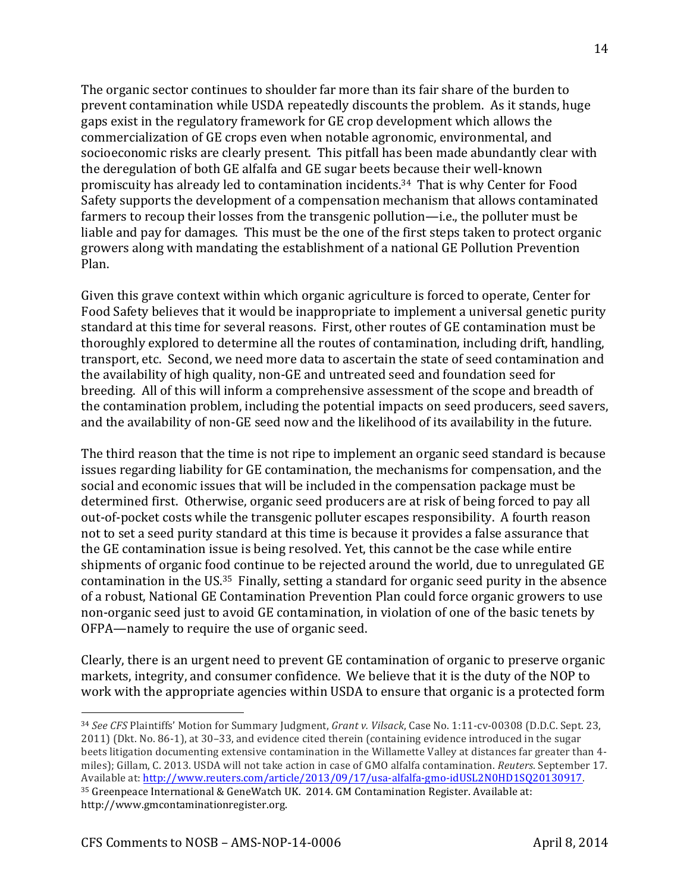The organic sector continues to shoulder far more than its fair share of the burden to prevent contamination while USDA repeatedly discounts the problem. As it stands, huge gaps exist in the regulatory framework for GE crop development which allows the commercialization of GE crops even when notable agronomic, environmental, and socioeconomic risks are clearly present. This pitfall has been made abundantly clear with the deregulation of both GE alfalfa and GE sugar beets because their well-known promiscuity has already led to contamination incidents.<sup>34</sup> That is why Center for Food Safety supports the development of a compensation mechanism that allows contaminated farmers to recoup their losses from the transgenic pollution—i.e., the polluter must be liable and pay for damages. This must be the one of the first steps taken to protect organic growers along with mandating the establishment of a national GE Pollution Prevention Plan.

Given this grave context within which organic agriculture is forced to operate, Center for Food Safety believes that it would be inappropriate to implement a universal genetic purity standard at this time for several reasons. First, other routes of GE contamination must be thoroughly explored to determine all the routes of contamination, including drift, handling, transport, etc. Second, we need more data to ascertain the state of seed contamination and the availability of high quality, non-GE and untreated seed and foundation seed for breeding. All of this will inform a comprehensive assessment of the scope and breadth of the contamination problem, including the potential impacts on seed producers, seed savers, and the availability of non-GE seed now and the likelihood of its availability in the future.

The third reason that the time is not ripe to implement an organic seed standard is because issues regarding liability for GE contamination, the mechanisms for compensation, and the social and economic issues that will be included in the compensation package must be determined first. Otherwise, organic seed producers are at risk of being forced to pay all out-of-pocket costs while the transgenic polluter escapes responsibility. A fourth reason not to set a seed purity standard at this time is because it provides a false assurance that the GE contamination issue is being resolved. Yet, this cannot be the case while entire shipments of organic food continue to be rejected around the world, due to unregulated GE contamination in the US. $35$  Finally, setting a standard for organic seed purity in the absence of a robust, National GE Contamination Prevention Plan could force organic growers to use non-organic seed just to avoid GE contamination, in violation of one of the basic tenets by OFPA—namely to require the use of organic seed.

Clearly, there is an urgent need to prevent GE contamination of organic to preserve organic markets, integrity, and consumer confidence. We believe that it is the duty of the NOP to work with the appropriate agencies within USDA to ensure that organic is a protected form

<sup>34</sup> See CFS Plaintiffs' Motion for Summary Judgment, *Grant v. Vilsack*, Case No. 1:11-cv-00308 (D.D.C. Sept. 23, 2011) (Dkt. No. 86-1), at 30–33, and evidence cited therein (containing evidence introduced in the sugar beets litigation documenting extensive contamination in the Willamette Valley at distances far greater than 4miles); Gillam, C. 2013. USDA will not take action in case of GMO alfalfa contamination. *Reuters*. September 17. Available at: http://www.reuters.com/article/2013/09/17/usa-alfalfa-gmo-idUSL2N0HD1SQ20130917.  $35$  Greenpeace International & GeneWatch UK. 2014. GM Contamination Register. Available at: http://www.gmcontaminationregister.org.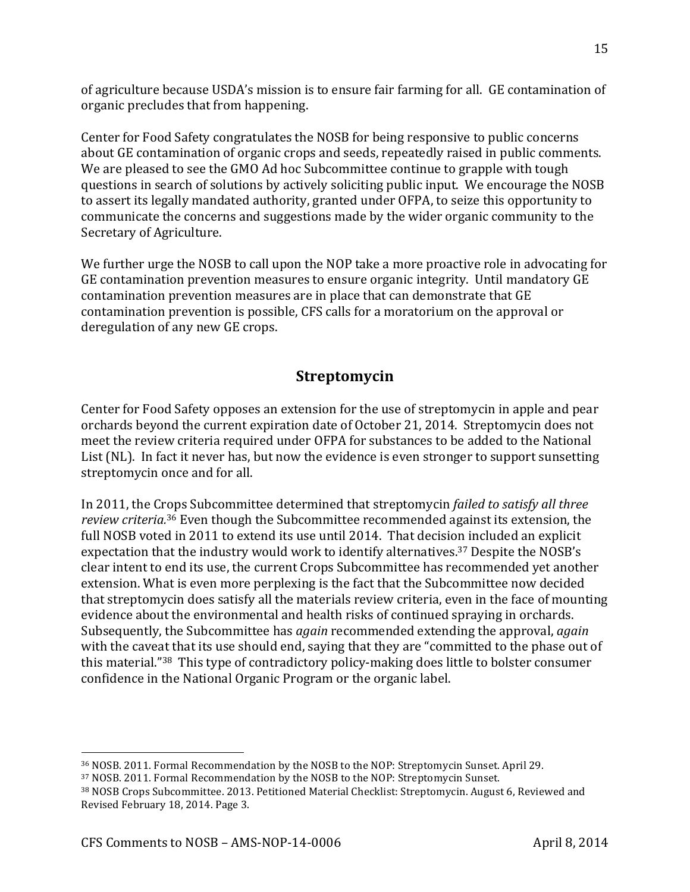of agriculture because USDA's mission is to ensure fair farming for all. GE contamination of organic precludes that from happening.

Center for Food Safety congratulates the NOSB for being responsive to public concerns about GE contamination of organic crops and seeds, repeatedly raised in public comments. We are pleased to see the GMO Ad hoc Subcommittee continue to grapple with tough questions in search of solutions by actively soliciting public input. We encourage the NOSB to assert its legally mandated authority, granted under OFPA, to seize this opportunity to communicate the concerns and suggestions made by the wider organic community to the Secretary of Agriculture.

We further urge the NOSB to call upon the NOP take a more proactive role in advocating for GE contamination prevention measures to ensure organic integrity. Until mandatory GE contamination prevention measures are in place that can demonstrate that GE contamination prevention is possible, CFS calls for a moratorium on the approval or deregulation of any new GE crops.

## **Streptomycin**

Center for Food Safety opposes an extension for the use of streptomycin in apple and pear orchards beyond the current expiration date of October 21, 2014. Streptomycin does not meet the review criteria required under OFPA for substances to be added to the National List (NL). In fact it never has, but now the evidence is even stronger to support sunsetting streptomycin once and for all.

In 2011, the Crops Subcommittee determined that streptomycin *failed to satisfy all three review criteria.*<sup>36</sup> Even though the Subcommittee recommended against its extension, the full NOSB voted in 2011 to extend its use until 2014. That decision included an explicit expectation that the industry would work to identify alternatives.<sup>37</sup> Despite the NOSB's clear intent to end its use, the current Crops Subcommittee has recommended yet another extension. What is even more perplexing is the fact that the Subcommittee now decided that streptomycin does satisfy all the materials review criteria, even in the face of mounting evidence about the environmental and health risks of continued spraying in orchards. Subsequently, the Subcommittee has *again* recommended extending the approval, *again* with the caveat that its use should end, saying that they are "committed to the phase out of this material."<sup>38</sup> This type of contradictory policy-making does little to bolster consumer confidence in the National Organic Program or the organic label.

<sup>36</sup> NOSB. 2011. Formal Recommendation by the NOSB to the NOP: Streptomycin Sunset. April 29.

<sup>37</sup> NOSB. 2011. Formal Recommendation by the NOSB to the NOP: Streptomycin Sunset.

<sup>38</sup> NOSB Crops Subcommittee. 2013. Petitioned Material Checklist: Streptomycin. August 6, Reviewed and Revised February 18, 2014. Page 3.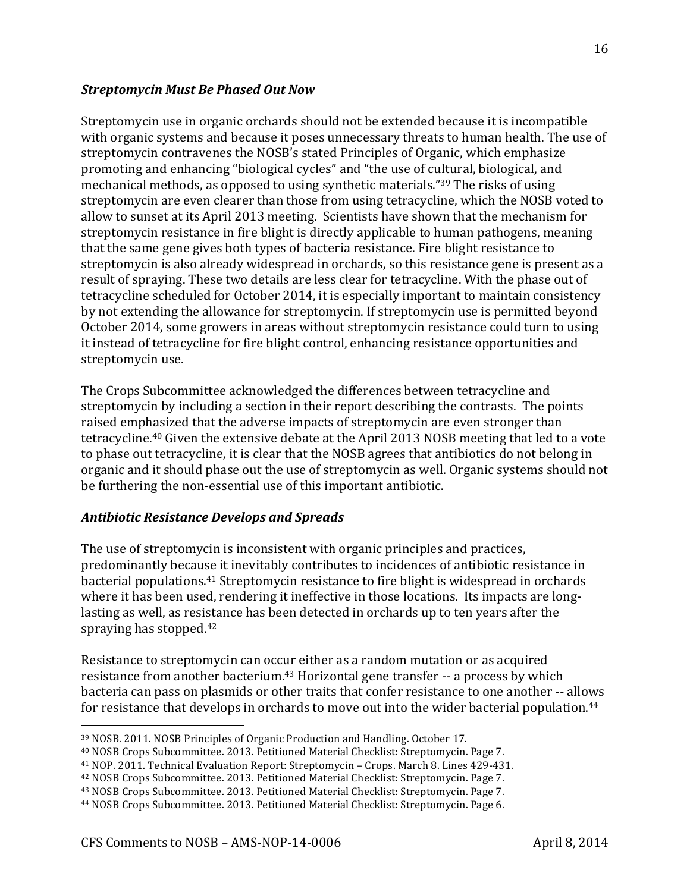#### **Streptomycin Must Be Phased Out Now**

Streptomycin use in organic orchards should not be extended because it is incompatible with organic systems and because it poses unnecessary threats to human health. The use of streptomycin contravenes the NOSB's stated Principles of Organic, which emphasize promoting and enhancing "biological cycles" and "the use of cultural, biological, and mechanical methods, as opposed to using synthetic materials."<sup>39</sup> The risks of using streptomycin are even clearer than those from using tetracycline, which the NOSB voted to allow to sunset at its April 2013 meeting. Scientists have shown that the mechanism for streptomycin resistance in fire blight is directly applicable to human pathogens, meaning that the same gene gives both types of bacteria resistance. Fire blight resistance to streptomycin is also already widespread in orchards, so this resistance gene is present as a result of spraying. These two details are less clear for tetracycline. With the phase out of tetracycline scheduled for October 2014, it is especially important to maintain consistency by not extending the allowance for streptomycin. If streptomycin use is permitted beyond October 2014, some growers in areas without streptomycin resistance could turn to using it instead of tetracycline for fire blight control, enhancing resistance opportunities and streptomycin use.

The Crops Subcommittee acknowledged the differences between tetracycline and streptomycin by including a section in their report describing the contrasts. The points raised emphasized that the adverse impacts of streptomycin are even stronger than tetracycline.<sup>40</sup> Given the extensive debate at the April 2013 NOSB meeting that led to a vote to phase out tetracycline, it is clear that the NOSB agrees that antibiotics do not belong in organic and it should phase out the use of streptomycin as well. Organic systems should not be furthering the non-essential use of this important antibiotic.

#### *Antibiotic%Resistance%Develops%and%Spreads*

The use of streptomycin is inconsistent with organic principles and practices, predominantly because it inevitably contributes to incidences of antibiotic resistance in bacterial populations.<sup>41</sup> Streptomycin resistance to fire blight is widespread in orchards where it has been used, rendering it ineffective in those locations. Its impacts are longlasting as well, as resistance has been detected in orchards up to ten years after the spraying has stopped. $42$ 

Resistance to streptomycin can occur either as a random mutation or as acquired resistance from another bacterium.<sup>43</sup> Horizontal gene transfer -- a process by which bacteria can pass on plasmids or other traits that confer resistance to one another -- allows for resistance that develops in orchards to move out into the wider bacterial population.<sup>44</sup>

!!!!!!!!!!!!!!!!!!!!!!!!!!!!!!!!!!!!!!!!!!!!!!!!!!!!!!!!!!!!

16

<sup>39</sup> NOSB. 2011. NOSB Principles of Organic Production and Handling. October 17.

<sup>&</sup>lt;sup>40</sup> NOSB Crops Subcommittee. 2013. Petitioned Material Checklist: Streptomycin. Page 7.

<sup>&</sup>lt;sup>41</sup> NOP. 2011. Technical Evaluation Report: Streptomycin – Crops. March 8. Lines 429-431.

<sup>&</sup>lt;sup>42</sup> NOSB Crops Subcommittee. 2013. Petitioned Material Checklist: Streptomycin. Page 7.

<sup>&</sup>lt;sup>43</sup> NOSB Crops Subcommittee. 2013. Petitioned Material Checklist: Streptomycin. Page 7.

<sup>&</sup>lt;sup>44</sup> NOSB Crops Subcommittee. 2013. Petitioned Material Checklist: Streptomycin. Page 6.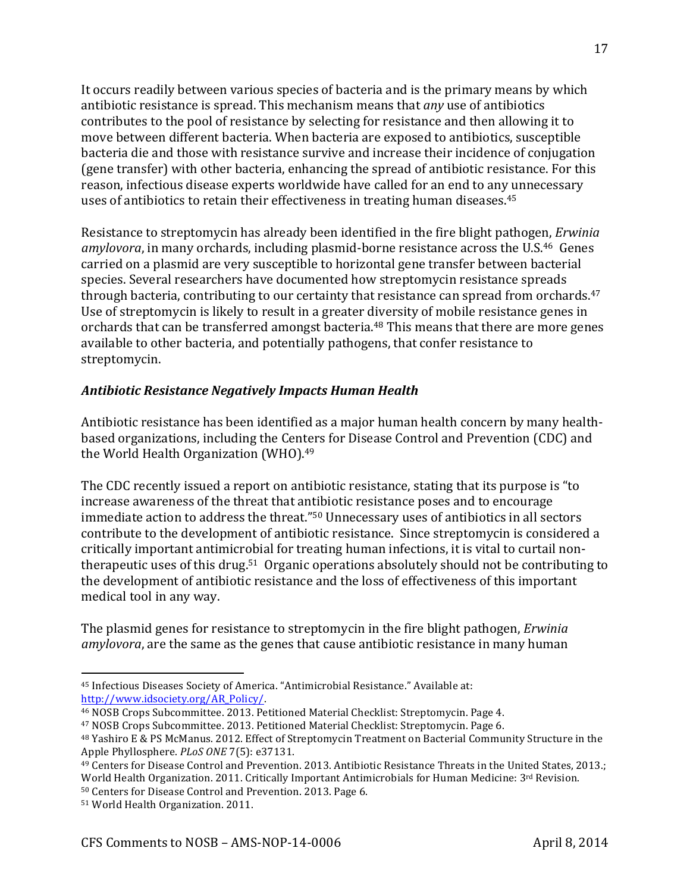It occurs readily between various species of bacteria and is the primary means by which antibiotic resistance is spread. This mechanism means that *any* use of antibiotics contributes to the pool of resistance by selecting for resistance and then allowing it to move between different bacteria. When bacteria are exposed to antibiotics, susceptible bacteria die and those with resistance survive and increase their incidence of conjugation (gene transfer) with other bacteria, enhancing the spread of antibiotic resistance. For this reason, infectious disease experts worldwide have called for an end to any unnecessary uses of antibiotics to retain their effectiveness in treating human diseases.<sup>45</sup>

Resistance to streptomycin has already been identified in the fire blight pathogen, *Erwinia* amylovora, in many orchards, including plasmid-borne resistance across the U.S.<sup>46</sup> Genes carried on a plasmid are very susceptible to horizontal gene transfer between bacterial species. Several researchers have documented how streptomycin resistance spreads through bacteria, contributing to our certainty that resistance can spread from orchards.<sup>47</sup> Use of streptomycin is likely to result in a greater diversity of mobile resistance genes in orchards that can be transferred amongst bacteria.<sup>48</sup> This means that there are more genes available to other bacteria, and potentially pathogens, that confer resistance to streptomycin.

### *Antibiotic%Resistance%Negatively%Impacts%Human%Health*

Antibiotic resistance has been identified as a major human health concern by many healthbased organizations, including the Centers for Disease Control and Prevention (CDC) and the World Health Organization (WHO).<sup>49</sup>

The CDC recently issued a report on antibiotic resistance, stating that its purpose is "to" increase awareness of the threat that antibiotic resistance poses and to encourage immediate action to address the threat."<sup>50</sup> Unnecessary uses of antibiotics in all sectors contribute to the development of antibiotic resistance. Since streptomycin is considered a critically important antimicrobial for treating human infections, it is vital to curtail nontherapeutic uses of this drug.<sup>51</sup> Organic operations absolutely should not be contributing to the development of antibiotic resistance and the loss of effectiveness of this important medical tool in any way.

The plasmid genes for resistance to streptomycin in the fire blight pathogen, *Erwinia amylovora*, are the same as the genes that cause antibiotic resistance in many human

!!!!!!!!!!!!!!!!!!!!!!!!!!!!!!!!!!!!!!!!!!!!!!!!!!!!!!!!!!!!

17

<sup>45</sup> Infectious Diseases Society of America. "Antimicrobial Resistance." Available at: http://www.idsociety.org/AR\_Policy/.

<sup>&</sup>lt;sup>46</sup> NOSB Crops Subcommittee. 2013. Petitioned Material Checklist: Streptomycin. Page 4.

<sup>&</sup>lt;sup>47</sup> NOSB Crops Subcommittee. 2013. Petitioned Material Checklist: Streptomycin. Page 6.

<sup>48</sup> Yashiro E & PS McManus. 2012. Effect of Streptomycin Treatment on Bacterial Community Structure in the Apple Phyllosphere. *PLoS ONE* 7(5): e37131.

<sup>&</sup>lt;sup>49</sup> Centers for Disease Control and Prevention. 2013. Antibiotic Resistance Threats in the United States, 2013.; World Health Organization. 2011. Critically Important Antimicrobials for Human Medicine:  $3<sup>rd</sup>$  Revision.

<sup>50</sup> Centers for Disease Control and Prevention. 2013. Page 6.

<sup>&</sup>lt;sup>51</sup> World Health Organization. 2011.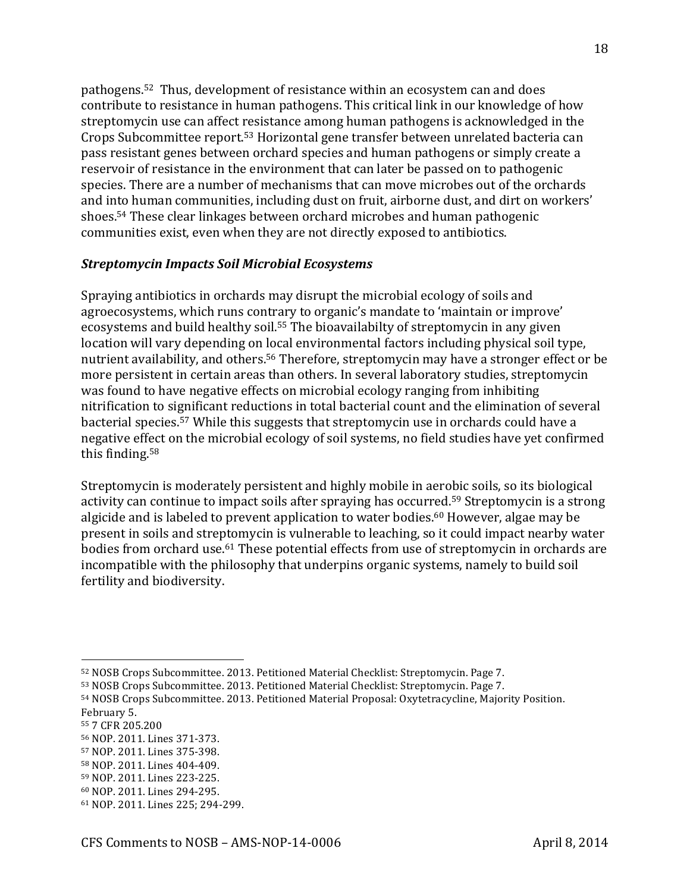pathogens.<sup>52</sup> Thus, development of resistance within an ecosystem can and does contribute to resistance in human pathogens. This critical link in our knowledge of how streptomycin use can affect resistance among human pathogens is acknowledged in the Crops Subcommittee report.<sup>53</sup> Horizontal gene transfer between unrelated bacteria can pass resistant genes between orchard species and human pathogens or simply create a reservoir of resistance in the environment that can later be passed on to pathogenic species. There are a number of mechanisms that can move microbes out of the orchards and into human communities, including dust on fruit, airborne dust, and dirt on workers' shoes.<sup>54</sup> These clear linkages between orchard microbes and human pathogenic communities exist, even when they are not directly exposed to antibiotics.

#### *Streptomycin%Impacts%Soil%Microbial%Ecosystems*

Spraying antibiotics in orchards may disrupt the microbial ecology of soils and agroecosystems, which runs contrary to organic's mandate to 'maintain or improve' ecosystems and build healthy soil.<sup>55</sup> The bioavailabilty of streptomycin in any given location will vary depending on local environmental factors including physical soil type, nutrient availability, and others.<sup>56</sup> Therefore, streptomycin may have a stronger effect or be more persistent in certain areas than others. In several laboratory studies, streptomycin was found to have negative effects on microbial ecology ranging from inhibiting nitrification to significant reductions in total bacterial count and the elimination of several bacterial species.<sup>57</sup> While this suggests that streptomycin use in orchards could have a negative effect on the microbial ecology of soil systems, no field studies have yet confirmed this finding.<sup>58</sup>

Streptomycin is moderately persistent and highly mobile in aerobic soils, so its biological activity can continue to impact soils after spraying has occurred.<sup>59</sup> Streptomycin is a strong algicide and is labeled to prevent application to water bodies.<sup>60</sup> However, algae may be present in soils and streptomycin is vulnerable to leaching, so it could impact nearby water bodies from orchard use.<sup>61</sup> These potential effects from use of streptomycin in orchards are incompatible with the philosophy that underpins organic systems, namely to build soil fertility and biodiversity.

- 55 7 CFR 205.200
- 56 NOP. 2011. Lines 371-373.

- 57 NOP. 2011. Lines 375-398.
- 58 NOP. 2011. Lines 404-409.
- 59 NOP. 2011. Lines 223-225.
- 60 NOP. 2011. Lines 294-295.

<sup>52</sup> NOSB Crops Subcommittee. 2013. Petitioned Material Checklist: Streptomycin. Page 7.

<sup>53</sup> NOSB Crops Subcommittee. 2013. Petitioned Material Checklist: Streptomycin. Page 7.

<sup>54</sup> NOSB Crops Subcommittee. 2013. Petitioned Material Proposal: Oxytetracycline, Majority Position. February 5.

<sup>61</sup> NOP. 2011. Lines 225; 294-299.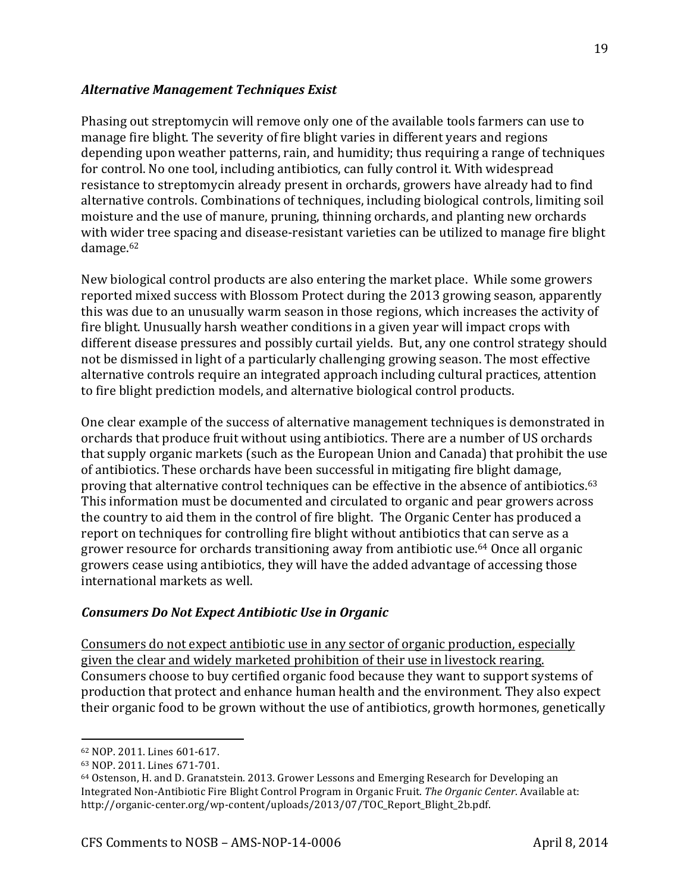#### *Alternative%Management%Techniques%Exist*

Phasing out streptomycin will remove only one of the available tools farmers can use to manage fire blight. The severity of fire blight varies in different years and regions depending upon weather patterns, rain, and humidity; thus requiring a range of techniques for control. No one tool, including antibiotics, can fully control it. With widespread resistance to streptomycin already present in orchards, growers have already had to find alternative controls. Combinations of techniques, including biological controls, limiting soil moisture and the use of manure, pruning, thinning orchards, and planting new orchards with wider tree spacing and disease-resistant varieties can be utilized to manage fire blight damage.62

New biological control products are also entering the market place. While some growers reported mixed success with Blossom Protect during the 2013 growing season, apparently this was due to an unusually warm season in those regions, which increases the activity of fire blight. Unusually harsh weather conditions in a given year will impact crops with different disease pressures and possibly curtail yields. But, any one control strategy should not be dismissed in light of a particularly challenging growing season. The most effective alternative controls require an integrated approach including cultural practices, attention to fire blight prediction models, and alternative biological control products.

One clear example of the success of alternative management techniques is demonstrated in orchards that produce fruit without using antibiotics. There are a number of US orchards that supply organic markets (such as the European Union and Canada) that prohibit the use of antibiotics. These orchards have been successful in mitigating fire blight damage, proving that alternative control techniques can be effective in the absence of antibiotics.<sup>63</sup> This information must be documented and circulated to organic and pear growers across the country to aid them in the control of fire blight. The Organic Center has produced a report on techniques for controlling fire blight without antibiotics that can serve as a grower resource for orchards transitioning away from antibiotic use.<sup>64</sup> Once all organic growers cease using antibiotics, they will have the added advantage of accessing those international markets as well.

#### *Consumers%Do%Not%Expect%Antibiotic%Use%in%Organic*

Consumers do not expect antibiotic use in any sector of organic production, especially given the clear and widely marketed prohibition of their use in livestock rearing. Consumers choose to buy certified organic food because they want to support systems of production that protect and enhance human health and the environment. They also expect their organic food to be grown without the use of antibiotics, growth hormones, genetically

<sup>62</sup> NOP. 2011. Lines 601-617.

<sup>63</sup> NOP. 2011. Lines 671-701.

 $64$  Ostenson, H. and D. Granatstein. 2013. Grower Lessons and Emerging Research for Developing an Integrated Non-Antibiotic Fire Blight Control Program in Organic Fruit. *The Organic Center*. Available at: http://organic-center.org/wp-content/uploads/2013/07/TOC\_Report\_Blight\_2b.pdf.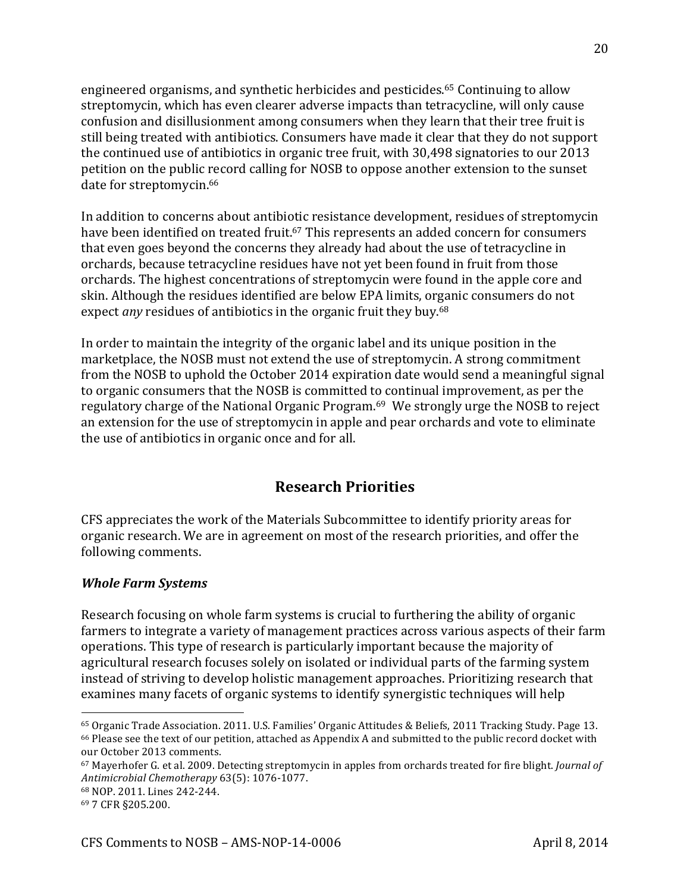engineered organisms, and synthetic herbicides and pesticides.<sup>65</sup> Continuing to allow streptomycin, which has even clearer adverse impacts than tetracycline, will only cause confusion and disillusionment among consumers when they learn that their tree fruit is still being treated with antibiotics. Consumers have made it clear that they do not support the continued use of antibiotics in organic tree fruit, with 30,498 signatories to our 2013 petition on the public record calling for NOSB to oppose another extension to the sunset date for streptomycin.<sup>66</sup>

In addition to concerns about antibiotic resistance development, residues of streptomycin have been identified on treated fruit.<sup>67</sup> This represents an added concern for consumers that even goes beyond the concerns they already had about the use of tetracycline in orchards, because tetracycline residues have not yet been found in fruit from those orchards. The highest concentrations of streptomycin were found in the apple core and skin. Although the residues identified are below EPA limits, organic consumers do not expect *any* residues of antibiotics in the organic fruit they buy.<sup>68</sup>

In order to maintain the integrity of the organic label and its unique position in the marketplace, the NOSB must not extend the use of streptomycin. A strong commitment from the NOSB to uphold the October 2014 expiration date would send a meaningful signal to organic consumers that the NOSB is committed to continual improvement, as per the regulatory charge of the National Organic Program.<sup>69</sup> We strongly urge the NOSB to reject an extension for the use of streptomycin in apple and pear orchards and vote to eliminate the use of antibiotics in organic once and for all.

## **Research Priorities**

CFS appreciates the work of the Materials Subcommittee to identify priority areas for organic research. We are in agreement on most of the research priorities, and offer the following comments.

#### *Whole Farm Systems*

Research focusing on whole farm systems is crucial to furthering the ability of organic farmers to integrate a variety of management practices across various aspects of their farm operations. This type of research is particularly important because the majority of agricultural research focuses solely on isolated or individual parts of the farming system instead of striving to develop holistic management approaches. Prioritizing research that examines many facets of organic systems to identify synergistic techniques will help

<sup>&</sup>lt;sup>65</sup> Organic Trade Association. 2011. U.S. Families' Organic Attitudes & Beliefs, 2011 Tracking Study. Page 13.  $66$  Please see the text of our petition, attached as Appendix A and submitted to the public record docket with our October 2013 comments.

<sup>&</sup>lt;sup>67</sup> Mayerhofer G. et al. 2009. Detecting streptomycin in apples from orchards treated for fire blight. *Journal of* Antimicrobial Chemotherapy 63(5): 1076-1077.

<sup>68</sup> NOP. 2011. Lines 242-244.

<sup>69 7</sup> CFR §205.200.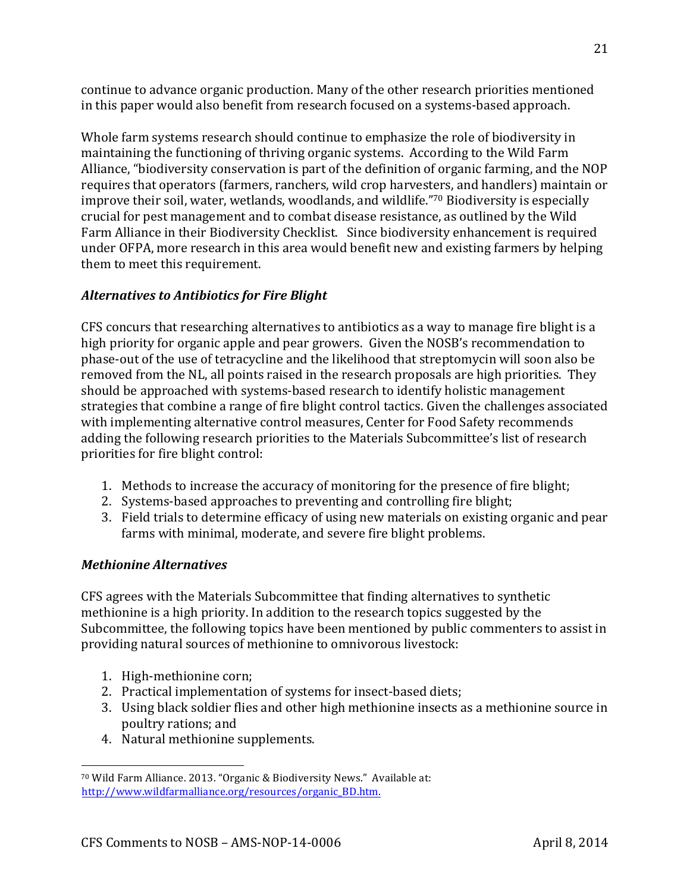continue to advance organic production. Many of the other research priorities mentioned in this paper would also benefit from research focused on a systems-based approach.

Whole farm systems research should continue to emphasize the role of biodiversity in maintaining the functioning of thriving organic systems. According to the Wild Farm Alliance, "biodiversity conservation is part of the definition of organic farming, and the NOP requires that operators (farmers, ranchers, wild crop harvesters, and handlers) maintain or improve their soil, water, wetlands, woodlands, and wildlife."70 Biodiversity is especially crucial for pest management and to combat disease resistance, as outlined by the Wild Farm Alliance in their Biodiversity Checklist. Since biodiversity enhancement is required under OFPA, more research in this area would benefit new and existing farmers by helping them to meet this requirement.

### *Alternatives%to%Antibiotics%for%Fire%Blight*

CFS concurs that researching alternatives to antibiotics as a way to manage fire blight is a high priority for organic apple and pear growers. Given the NOSB's recommendation to phase-out of the use of tetracycline and the likelihood that streptomycin will soon also be removed from the NL, all points raised in the research proposals are high priorities. They should be approached with systems-based research to identify holistic management strategies that combine a range of fire blight control tactics. Given the challenges associated with implementing alternative control measures, Center for Food Safety recommends adding the following research priorities to the Materials Subcommittee's list of research priorities for fire blight control:

- 1. Methods to increase the accuracy of monitoring for the presence of fire blight;
- 2. Systems-based approaches to preventing and controlling fire blight;
- 3. Field trials to determine efficacy of using new materials on existing organic and pear farms with minimal, moderate, and severe fire blight problems.

### *Methionine%Alternatives%*

CFS agrees with the Materials Subcommittee that finding alternatives to synthetic methionine is a high priority. In addition to the research topics suggested by the Subcommittee, the following topics have been mentioned by public commenters to assist in providing natural sources of methionine to omnivorous livestock:

1. High-methionine corn;

- 2. Practical implementation of systems for insect-based diets;
- 3. Using black soldier flies and other high methionine insects as a methionine source in poultry rations; and
- 4. Natural methionine supplements.

<sup>&</sup>lt;sup>70</sup> Wild Farm Alliance. 2013. "Organic & Biodiversity News." Available at: http://www.wildfarmalliance.org/resources/organic\_BD.htm.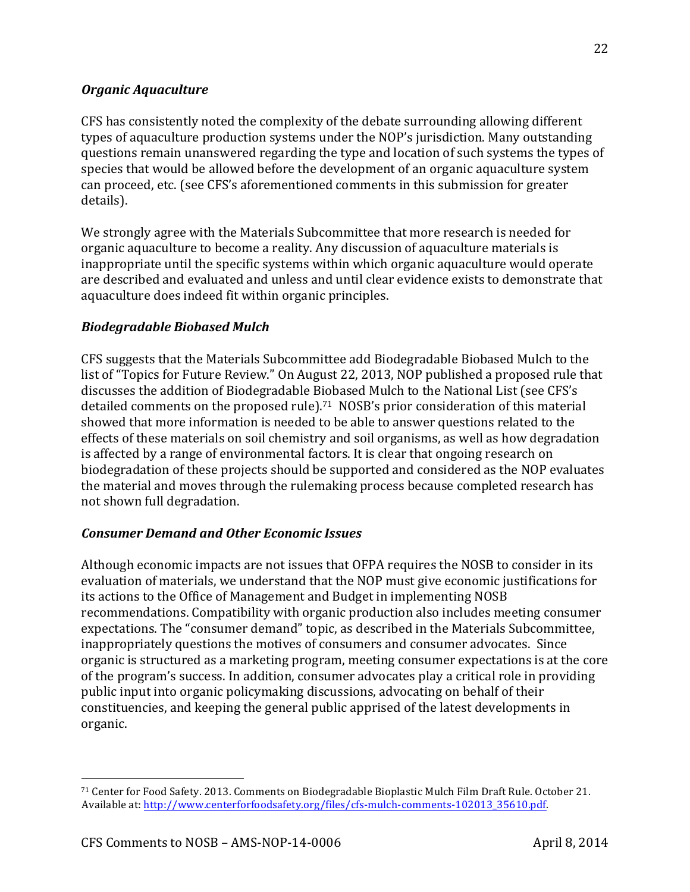### *Organic%Aquaculture%*

CFS has consistently noted the complexity of the debate surrounding allowing different types of aquaculture production systems under the NOP's jurisdiction. Many outstanding questions remain unanswered regarding the type and location of such systems the types of species that would be allowed before the development of an organic aquaculture system can proceed, etc. (see CFS's aforementioned comments in this submission for greater details).

We strongly agree with the Materials Subcommittee that more research is needed for organic aquaculture to become a reality. Any discussion of aquaculture materials is inappropriate until the specific systems within which organic aquaculture would operate are described and evaluated and unless and until clear evidence exists to demonstrate that aquaculture does indeed fit within organic principles.

### *Biodegradable%Biobased%Mulch*

CFS suggests that the Materials Subcommittee add Biodegradable Biobased Mulch to the list of "Topics for Future Review." On August 22, 2013, NOP published a proposed rule that discusses the addition of Biodegradable Biobased Mulch to the National List (see CFS's detailed comments on the proposed rule).<sup>71</sup> NOSB's prior consideration of this material showed that more information is needed to be able to answer questions related to the effects of these materials on soil chemistry and soil organisms, as well as how degradation is affected by a range of environmental factors. It is clear that ongoing research on biodegradation of these projects should be supported and considered as the NOP evaluates the material and moves through the rulemaking process because completed research has not shown full degradation.

#### *Consumer%Demand%and%Other%Economic%Issues*

Although economic impacts are not issues that OFPA requires the NOSB to consider in its evaluation of materials, we understand that the NOP must give economic justifications for its actions to the Office of Management and Budget in implementing NOSB recommendations. Compatibility with organic production also includes meeting consumer expectations. The "consumer demand" topic, as described in the Materials Subcommittee, inappropriately questions the motives of consumers and consumer advocates. Since organic is structured as a marketing program, meeting consumer expectations is at the core of the program's success. In addition, consumer advocates play a critical role in providing public input into organic policymaking discussions, advocating on behalf of their constituencies, and keeping the general public apprised of the latest developments in organic.!

<sup>&</sup>lt;sup>71</sup> Center for Food Safety. 2013. Comments on Biodegradable Bioplastic Mulch Film Draft Rule. October 21. Available at: http://www.centerforfoodsafety.org/files/cfs-mulch-comments-102013\_35610.pdf.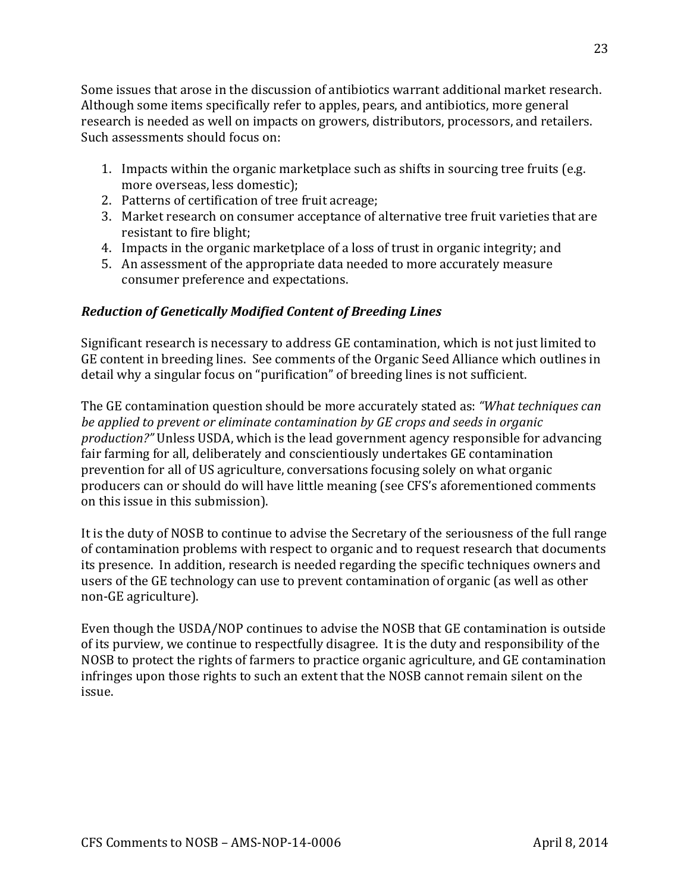Some issues that arose in the discussion of antibiotics warrant additional market research. Although some items specifically refer to apples, pears, and antibiotics, more general research is needed as well on impacts on growers, distributors, processors, and retailers. Such assessments should focus on:

- 1. Impacts within the organic marketplace such as shifts in sourcing tree fruits (e.g.  $\overline{a}$ ) more overseas, less domestic);
- 2. Patterns of certification of tree fruit acreage;
- 3. Market research on consumer acceptance of alternative tree fruit varieties that are resistant to fire blight:
- 4. Impacts in the organic marketplace of a loss of trust in organic integrity; and
- 5. An assessment of the appropriate data needed to more accurately measure consumer preference and expectations.

### *Reduction%of%Genetically%Modified%Content%of%Breeding%Lines*

Significant research is necessary to address GE contamination, which is not just limited to GE content in breeding lines. See comments of the Organic Seed Alliance which outlines in detail why a singular focus on "purification" of breeding lines is not sufficient.

The GE contamination question should be more accurately stated as: *"What techniques can be,applied,to,prevent,or,eliminate,contamination,by,GE,crops,and,seeds,in,organic, production?"* Unless USDA, which is the lead government agency responsible for advancing fair farming for all, deliberately and conscientiously undertakes GE contamination prevention for all of US agriculture, conversations focusing solely on what organic producers can or should do will have little meaning (see CFS's aforementioned comments on this issue in this submission).

It is the duty of NOSB to continue to advise the Secretary of the seriousness of the full range of contamination problems with respect to organic and to request research that documents its presence. In addition, research is needed regarding the specific techniques owners and users of the GE technology can use to prevent contamination of organic (as well as other non-GE agriculture).

Even though the USDA/NOP continues to advise the NOSB that GE contamination is outside of its purview, we continue to respectfully disagree. It is the duty and responsibility of the NOSB to protect the rights of farmers to practice organic agriculture, and GE contamination infringes upon those rights to such an extent that the NOSB cannot remain silent on the issue.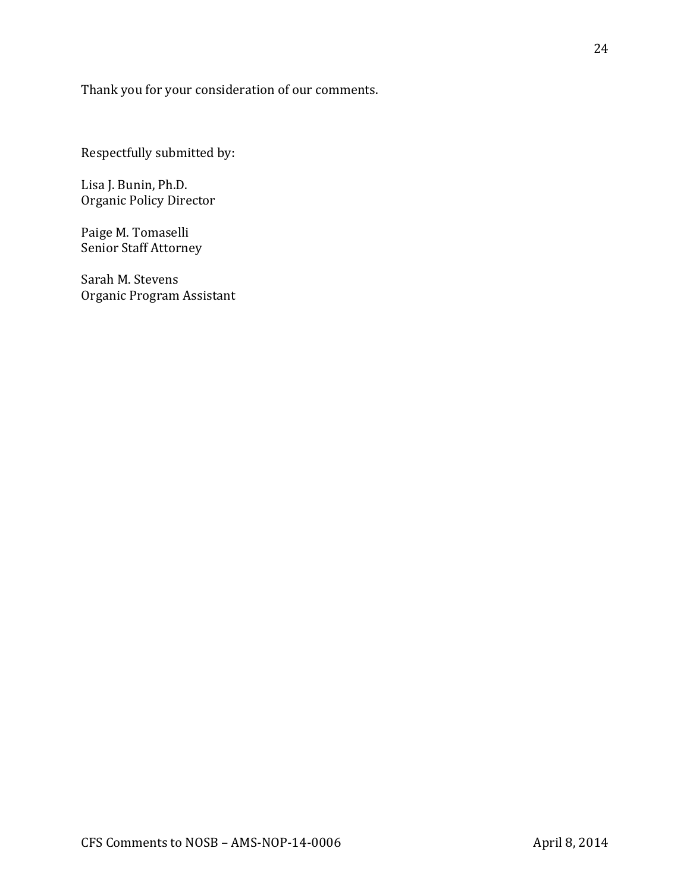Thank you for your consideration of our comments.

Respectfully submitted by:

Lisa J. Bunin, Ph.D. Organic Policy Director

Paige M. Tomaselli Senior Staff Attorney

Sarah M. Stevens Organic Program Assistant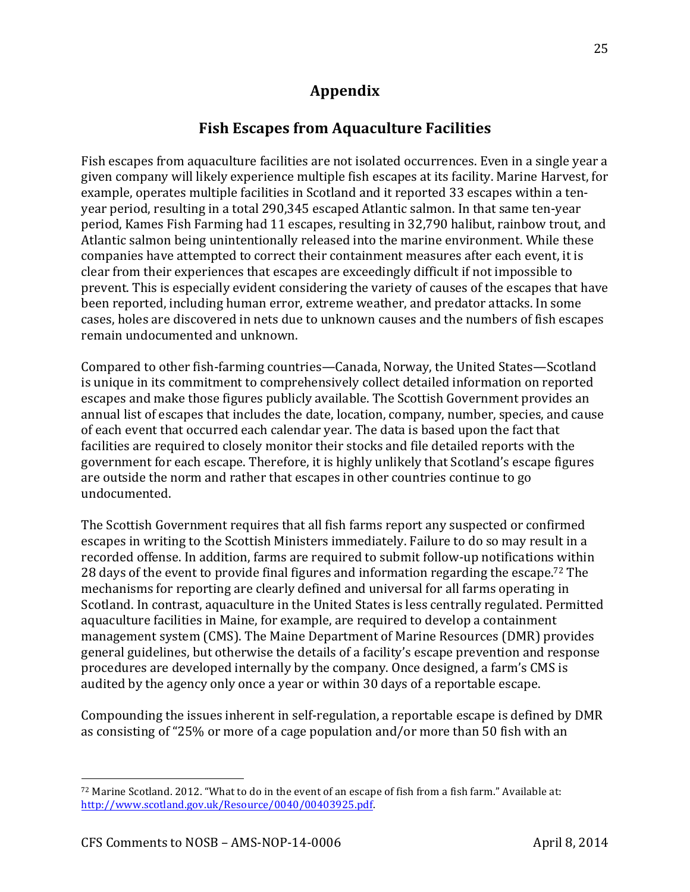## **Appendix**

### Fish Escapes from Aquaculture Facilities

Fish escapes from aquaculture facilities are not isolated occurrences. Even in a single year a given company will likely experience multiple fish escapes at its facility. Marine Harvest, for example, operates multiple facilities in Scotland and it reported 33 escapes within a tenyear period, resulting in a total 290,345 escaped Atlantic salmon. In that same ten-year period, Kames Fish Farming had 11 escapes, resulting in 32,790 halibut, rainbow trout, and Atlantic salmon being unintentionally released into the marine environment. While these companies have attempted to correct their containment measures after each event, it is clear from their experiences that escapes are exceedingly difficult if not impossible to prevent. This is especially evident considering the variety of causes of the escapes that have been reported, including human error, extreme weather, and predator attacks. In some cases, holes are discovered in nets due to unknown causes and the numbers of fish escapes remain undocumented and unknown.

Compared to other fish-farming countries—Canada, Norway, the United States—Scotland is unique in its commitment to comprehensively collect detailed information on reported escapes and make those figures publicly available. The Scottish Government provides an annual list of escapes that includes the date, location, company, number, species, and cause of each event that occurred each calendar year. The data is based upon the fact that facilities are required to closely monitor their stocks and file detailed reports with the government for each escape. Therefore, it is highly unlikely that Scotland's escape figures are outside the norm and rather that escapes in other countries continue to go undocumented.

The Scottish Government requires that all fish farms report any suspected or confirmed escapes in writing to the Scottish Ministers immediately. Failure to do so may result in a recorded offense. In addition, farms are required to submit follow-up notifications within 28 days of the event to provide final figures and information regarding the escape.<sup>72</sup> The mechanisms for reporting are clearly defined and universal for all farms operating in Scotland. In contrast, aquaculture in the United States is less centrally regulated. Permitted aquaculture facilities in Maine, for example, are required to develop a containment management system (CMS). The Maine Department of Marine Resources (DMR) provides general guidelines, but otherwise the details of a facility's escape prevention and response procedures are developed internally by the company. Once designed, a farm's CMS is audited by the agency only once a year or within 30 days of a reportable escape.

Compounding the issues inherent in self-regulation, a reportable escape is defined by DMR as consisting of "25% or more of a cage population and/or more than 50 fish with an

<sup>&</sup>lt;sup>72</sup> Marine Scotland. 2012. "What to do in the event of an escape of fish from a fish farm." Available at: http://www.scotland.gov.uk/Resource/0040/00403925.pdf.!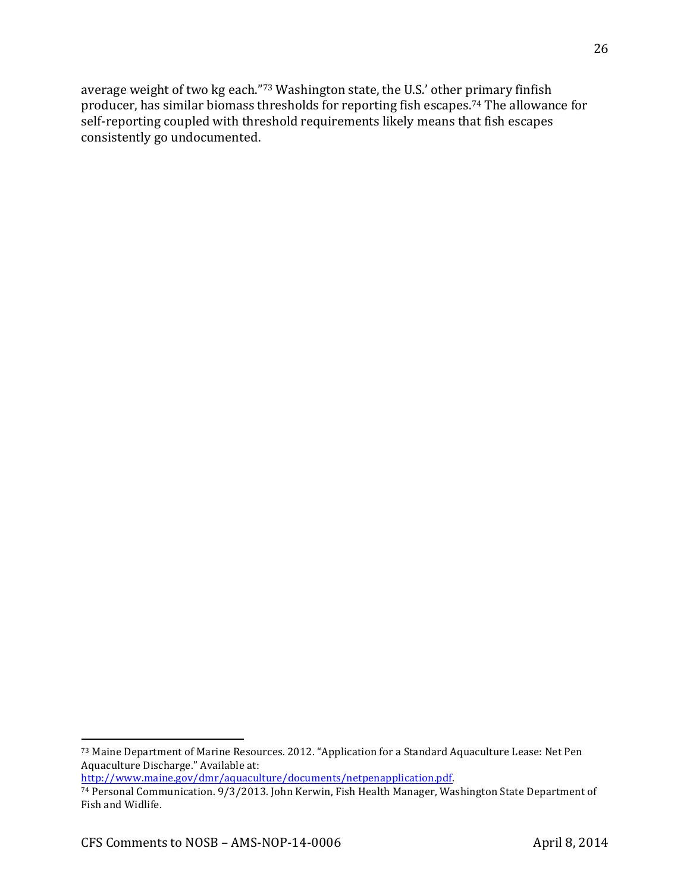average weight of two kg each."73 Washington state, the U.S.' other primary finfish producer, has similar biomass thresholds for reporting fish escapes.<sup>74</sup> The allowance for self-reporting coupled with threshold requirements likely means that fish escapes consistently go undocumented.

http://www.maine.gov/dmr/aquaculture/documents/netpenapplication.pdf.!

<sup>73</sup> Maine Department of Marine Resources. 2012. "Application for a Standard Aquaculture Lease: Net Pen Aquaculture Discharge." Available at:

<sup>&</sup>lt;sup>74</sup> Personal Communication. 9/3/2013. John Kerwin, Fish Health Manager, Washington State Department of Fish and Widlife.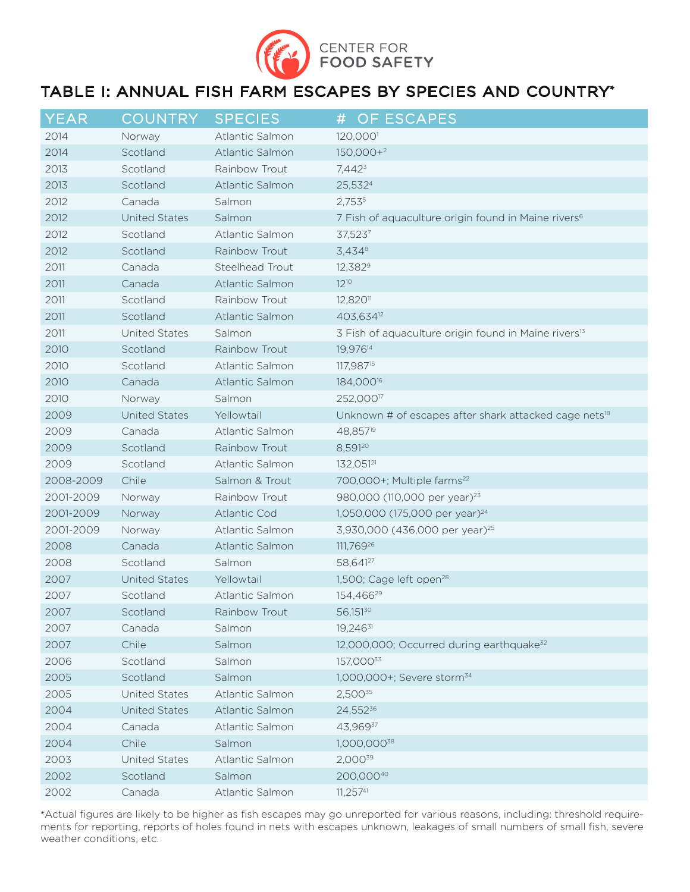

# TABLE I: ANNUAL FISH FARM ESCAPES BY SPECIES AND COUNTRY\*

| $Y\overline{\sf EAR}$ | <b>COUNTRY</b>       | <b>SPECIES</b>      | OF ESCAPES<br>#                                                   |
|-----------------------|----------------------|---------------------|-------------------------------------------------------------------|
| 2014                  | Norway               | Atlantic Salmon     | 120,000                                                           |
| 2014                  | Scotland             | Atlantic Salmon     | $150,000+2$                                                       |
| 2013                  | Scotland             | Rainbow Trout       | $7,442^3$                                                         |
| 2013                  | Scotland             | Atlantic Salmon     | 25,5324                                                           |
| 2012                  | Canada               | Salmon              | 2,7535                                                            |
| 2012                  | <b>United States</b> | Salmon              | 7 Fish of aquaculture origin found in Maine rivers <sup>6</sup>   |
| 2012                  | Scotland             | Atlantic Salmon     | 37,5237                                                           |
| 2012                  | Scotland             | Rainbow Trout       | 3,4348                                                            |
| 2011                  | Canada               | Steelhead Trout     | 12,382 <sup>9</sup>                                               |
| 2011                  | Canada               | Atlantic Salmon     | $12^{10}$                                                         |
| 2011                  | Scotland             | Rainbow Trout       | 12,820 <sup>11</sup>                                              |
| 2011                  | Scotland             | Atlantic Salmon     | 403,634 <sup>12</sup>                                             |
| 2011                  | <b>United States</b> | Salmon              | 3 Fish of aquaculture origin found in Maine rivers <sup>13</sup>  |
| 2010                  | Scotland             | Rainbow Trout       | 19,976 <sup>14</sup>                                              |
| 2010                  | Scotland             | Atlantic Salmon     | 117,987 <sup>15</sup>                                             |
| 2010                  | Canada               | Atlantic Salmon     | 184,000 <sup>16</sup>                                             |
| 2010                  | Norway               | Salmon              | 252,000 <sup>17</sup>                                             |
| 2009                  | <b>United States</b> | Yellowtail          | Unknown # of escapes after shark attacked cage nets <sup>18</sup> |
| 2009                  | Canada               | Atlantic Salmon     | 48,857 <sup>19</sup>                                              |
| 2009                  | Scotland             | Rainbow Trout       | 8,59120                                                           |
| 2009                  | Scotland             | Atlantic Salmon     | 132,05121                                                         |
| 2008-2009             | Chile                | Salmon & Trout      | 700,000+; Multiple farms <sup>22</sup>                            |
| 2001-2009             | Norway               | Rainbow Trout       | 980,000 (110,000 per year) <sup>23</sup>                          |
| 2001-2009             | Norway               | <b>Atlantic Cod</b> | 1,050,000 (175,000 per year) <sup>24</sup>                        |
| 2001-2009             | Norway               | Atlantic Salmon     | 3,930,000 (436,000 per year) <sup>25</sup>                        |
| 2008                  | Canada               | Atlantic Salmon     | 111,76926                                                         |
| 2008                  | Scotland             | Salmon              | 58,64127                                                          |
| 2007                  | <b>United States</b> | Yellowtail          | 1,500; Cage left open <sup>28</sup>                               |
| 2007                  | Scotland             | Atlantic Salmon     | 154,46629                                                         |
| 2007                  | Scotland             | Rainbow Trout       | 56,15130                                                          |
| 2007                  | Canada               | Salmon              | 19,24631                                                          |
| 2007                  | Chile                | Salmon              | 12,000,000; Occurred during earthquake <sup>32</sup>              |
| 2006                  | Scotland             | Salmon              | 157,00033                                                         |
| 2005                  | Scotland             | Salmon              | 1,000,000+; Severe storm <sup>34</sup>                            |
| 2005                  | United States        | Atlantic Salmon     | 2,50035                                                           |
| 2004                  | <b>United States</b> | Atlantic Salmon     | 24,55236                                                          |
| 2004                  | Canada               | Atlantic Salmon     | 43,96937                                                          |
| 2004                  | Chile                | Salmon              | 1,000,00038                                                       |
| 2003                  | United States        | Atlantic Salmon     | 2,00039                                                           |
| 2002                  | Scotland             | Salmon              | 200,00040                                                         |
| 2002                  | Canada               | Atlantic Salmon     | 11,25741                                                          |

\*Actual figures are likely to be higher as fish escapes may go unreported for various reasons, including: threshold requirements for reporting, reports of holes found in nets with escapes unknown, leakages of small numbers of small fish, severe weather conditions, etc.